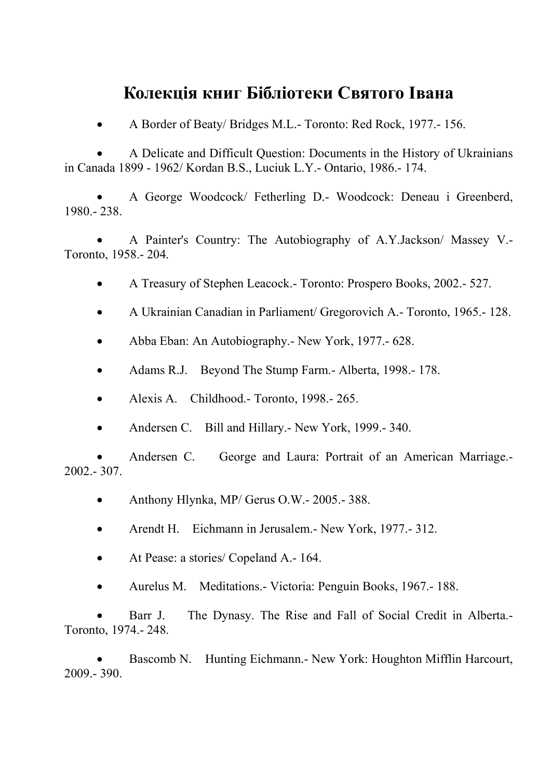## **Колекція книг Бібліотеки Святого Івана**

• A Border of Beaty/ Bridges M.L.- Toronto: Red Rock, 1977.- 156.

• A Delicate and Difficult Question: Documents in the History of Ukrainians in Canada 1899 - 1962/ Kordan B.S., Luciuk L.Y.- Ontario, 1986.- 174.

• A George Woodcock/ Fetherling D.- Woodcock: Deneau i Greenberd, 1980.- 238.

• A Painter's Country: The Autobiography of A.Y.Jackson/ Massey V.- Toronto, 1958.- 204.

- A Treasury of Stephen Leacock.- Toronto: Prospero Books, 2002.- 527.
- A Ukrainian Canadian in Parliament/ Gregorovich A.- Toronto, 1965.- 128.
- Abba Eban: An Autobiography. New York, 1977. 628.
- Adams R.J. Beyond The Stump Farm. Alberta, 1998. 178.
- Alexis A. Childhood.- Toronto, 1998.- 265.
- Andersen C. Bill and Hillary.- New York, 1999.- 340.

• Andersen C. George and Laura: Portrait of an American Marriage.- 2002.- 307.

- Anthony Hlynka, MP/ Gerus O.W. 2005. 388.
- Arendt H. Eichmann in Jerusalem. New York, 1977. 312.
- At Pease: a stories/ Copeland A. 164.
- Aurelus M. Meditations.- Victoria: Penguin Books, 1967.- 188.

• Barr J. The Dynasy. The Rise and Fall of Social Credit in Alberta.- Toronto, 1974.- 248.

• Bascomb N. Hunting Eichmann.- New York: Houghton Mifflin Harcourt, 2009.- 390.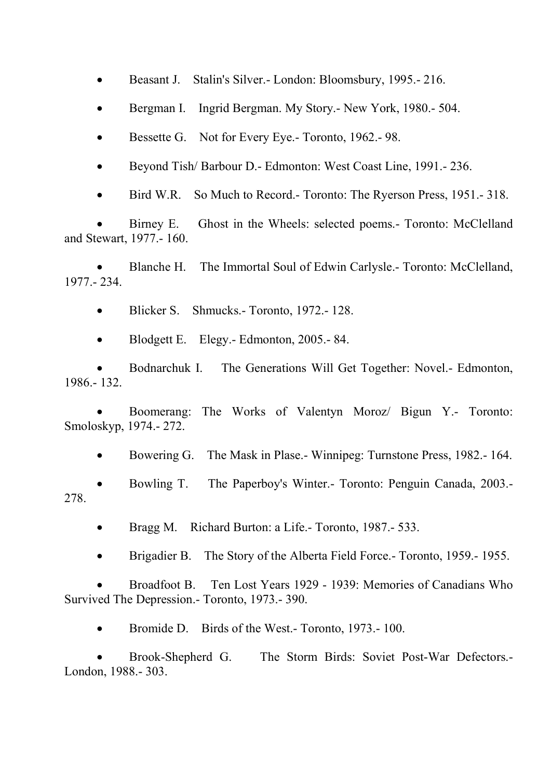• Beasant J. Stalin's Silver. - London: Bloomsbury, 1995. - 216.

- Bergman I. Ingrid Bergman. My Story.- New York, 1980.- 504.
- Bessette G. Not for Every Eye. Toronto, 1962. 98.
- Beyond Tish/ Barbour D.- Edmonton: West Coast Line, 1991.- 236.
- Bird W.R. So Much to Record.- Toronto: The Ryerson Press, 1951.- 318.

• Birney E. Ghost in the Wheels: selected poems.- Toronto: McClelland and Stewart, 1977.- 160.

• Blanche H. The Immortal Soul of Edwin Carlysle.- Toronto: McClelland, 1977.- 234.

• Blicker S. Shmucks.- Toronto, 1972.-128.

• Blodgett E. Elegy.- Edmonton, 2005.-84.

• Bodnarchuk I. The Generations Will Get Together: Novel.- Edmonton, 1986.- 132.

• Boomerang: The Works of Valentyn Moroz/ Bigun Y.- Toronto: Smoloskyp, 1974.- 272.

• Bowering G. The Mask in Plase. - Winnipeg: Turnstone Press, 1982. - 164.

• Bowling T. The Paperboy's Winter.- Toronto: Penguin Canada, 2003.- 278.

- Bragg M. Richard Burton: a Life. Toronto, 1987. 533.
- Brigadier B. The Story of the Alberta Field Force.- Toronto, 1959.- 1955.

• Broadfoot B. Ten Lost Years 1929 - 1939: Memories of Canadians Who Survived The Depression.- Toronto, 1973.- 390.

• Bromide D. Birds of the West.- Toronto, 1973.- 100.

• Brook-Shepherd G. The Storm Birds: Soviet Post-War Defectors.- London, 1988.- 303.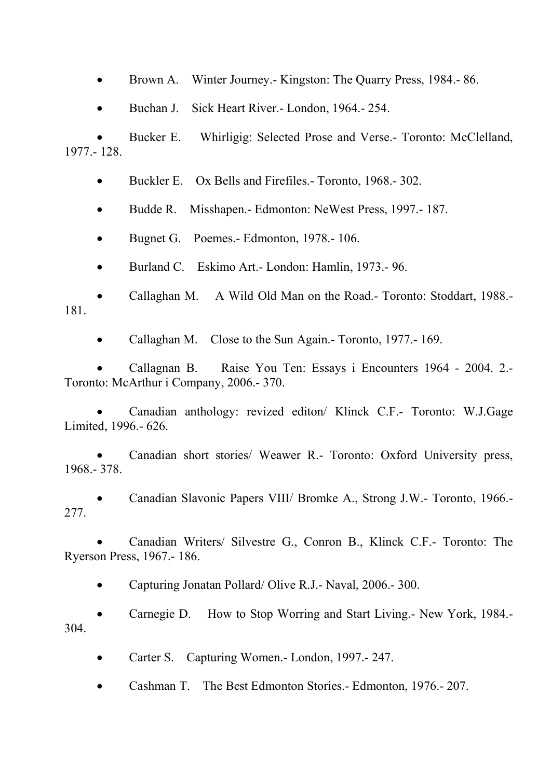• Brown A. Winter Journey. - Kingston: The Quarry Press, 1984. - 86.

• Buchan J. Sick Heart River.- London, 1964.- 254.

• Bucker E. Whirligig: Selected Prose and Verse.- Toronto: McClelland, 1977.- 128.

• Buckler E. Ox Bells and Firefiles. - Toronto, 1968. - 302.

• Budde R. Misshapen.- Edmonton: NeWest Press, 1997.- 187.

• Bugnet G. Poemes.- Edmonton, 1978.-106.

• Burland C. Eskimo Art.- London: Hamlin, 1973.- 96.

• Callaghan M. A Wild Old Man on the Road.- Toronto: Stoddart, 1988.- 181.

• Callaghan M. Close to the Sun Again.- Toronto, 1977.- 169.

• Callagnan B. Raise You Ten: Essays i Encounters 1964 - 2004. 2.- Toronto: McArthur i Company, 2006.- 370.

• Canadian anthology: revized editon/ Klinck C.F.- Toronto: W.J.Gage Limited, 1996.- 626.

• Canadian short stories/ Weawer R.- Toronto: Oxford University press, 1968.- 378.

• Canadian Slavonic Papers VIII/ Bromke A., Strong J.W.- Toronto, 1966.- 277.

• Canadian Writers/ Silvestre G., Conron B., Klinck C.F.- Toronto: The Ryerson Press, 1967.- 186.

• Capturing Jonatan Pollard/ Olive R.J.- Naval, 2006.- 300.

• Carnegie D. How to Stop Worring and Start Living.- New York, 1984.- 304.

• Carter S. Capturing Women.- London, 1997.- 247.

• Cashman T. The Best Edmonton Stories.- Edmonton, 1976.- 207.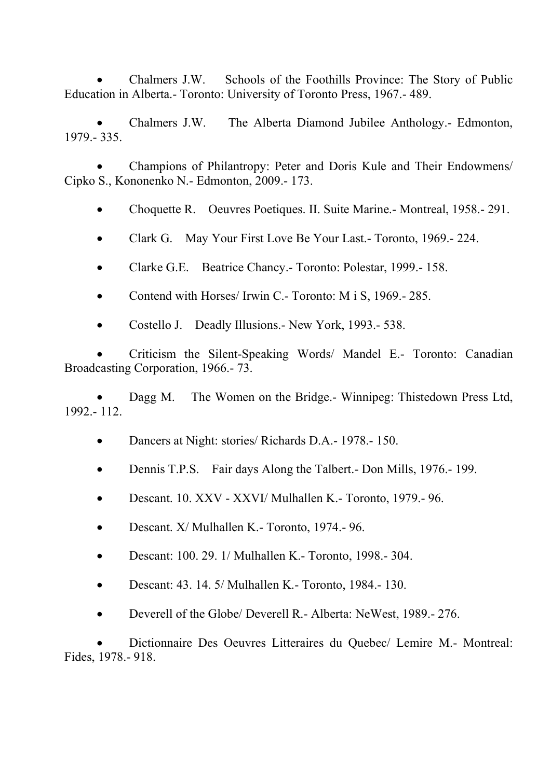• Chalmers J.W. Schools of the Foothills Province: The Story of Public Education in Alberta.- Toronto: University of Toronto Press, 1967.- 489.

• Chalmers J.W. The Alberta Diamond Jubilee Anthology.- Edmonton, 1979.- 335.

• Champions of Philantropy: Peter and Doris Kule and Their Endowmens/ Cipko S., Kononenko N.- Edmonton, 2009.- 173.

• Choquette R. Oeuvres Poetiques. II. Suite Marine. - Montreal, 1958. - 291.

• Clark G. May Your First Love Be Your Last.- Toronto, 1969.-224.

- Clarke G.E. Beatrice Chancy.- Toronto: Polestar, 1999.- 158.
- Contend with Horses/ Irwin C.- Toronto: M i S, 1969.-285.
- Costello J. Deadly Illusions.- New York, 1993.- 538.

• Criticism the Silent-Speaking Words/ Mandel E.- Toronto: Canadian Broadcasting Corporation, 1966.- 73.

• Dagg M. The Women on the Bridge.- Winnipeg: Thistedown Press Ltd, 1992.- 112.

- Dancers at Night: stories/ Richards D.A.- 1978.- 150.
- Dennis T.P.S. Fair days Along the Talbert.- Don Mills, 1976.- 199.
- Descant. 10. XXV XXVI/ Mulhallen K.- Toronto, 1979.- 96.
- Descant. X/ Mulhallen K.- Toronto, 1974.-96.
- Descant: 100. 29. 1/ Mulhallen K.- Toronto, 1998. 304.
- Descant: 43. 14. 5/ Mulhallen K.- Toronto, 1984.- 130.
- Deverell of the Globe/ Deverell R.- Alberta: NeWest, 1989.- 276.

• Dictionnaire Des Oeuvres Litteraires du Quebec/ Lemire M.- Montreal: Fides, 1978.- 918.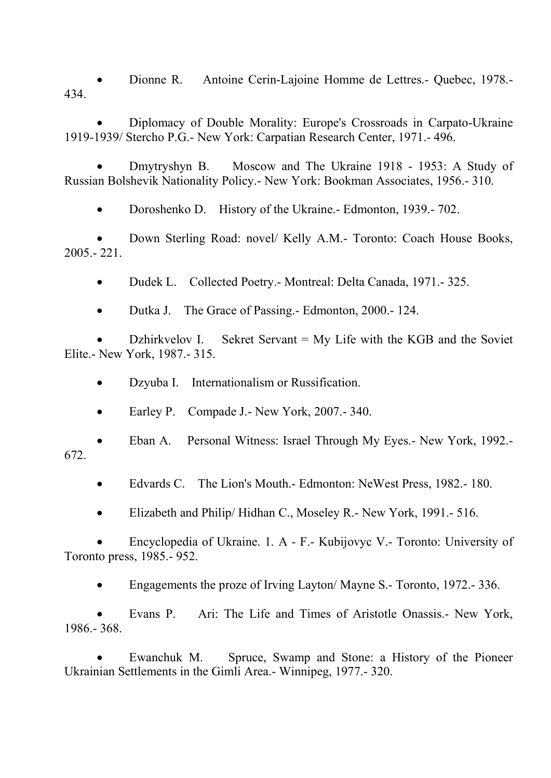• Dionne R. Antoine Cerin-Lajoine Homme de Lettres.- Quebec, 1978.- 434.

• Diplomacy of Double Morality: Europe's Crossroads in Carpato-Ukraine 1919-1939/ Stercho P.G.- New York: Carpatian Research Center, 1971.- 496.

• Dmytryshyn B. Moscow and The Ukraine 1918 - 1953: A Study of Russian Bolshevik Nationality Policy.- New York: Bookman Associates, 1956.- 310.

• Doroshenko D. History of the Ukraine. - Edmonton, 1939. - 702.

• Down Sterling Road: novel/ Kelly A.M.- Toronto: Coach House Books, 2005.- 221.

• Dudek L. Collected Poetry.- Montreal: Delta Canada, 1971.- 325.

• Dutka J. The Grace of Passing. - Edmonton, 2000. - 124.

• Dzhirkvelov I. Sekret Servant = My Life with the KGB and the Soviet Elite.- New York, 1987.- 315.

- Dzyuba I. Internationalism or Russification.
- Earley P. Compade J.- New York, 2007.-340.
- Eban A. Personal Witness: Israel Through My Eyes.- New York, 1992.- 672.
	- Edvards C. The Lion's Mouth.- Edmonton: NeWest Press, 1982.- 180.
	- Elizabeth and Philip/ Hidhan C., Moseley R.- New York, 1991.- 516.

• Encyclopedia of Ukraine. 1. A - F.- Kubijovyc V.- Toronto: University of Toronto press, 1985.- 952.

• Engagements the proze of Irving Layton/ Mayne S.- Toronto, 1972.- 336.

• Evans P. Ari: The Life and Times of Aristotle Onassis.- New York, 1986.- 368.

• Ewanchuk M. Spruce, Swamp and Stone: a History of the Pioneer Ukrainian Settlements in the Gimli Area.- Winnipeg, 1977.- 320.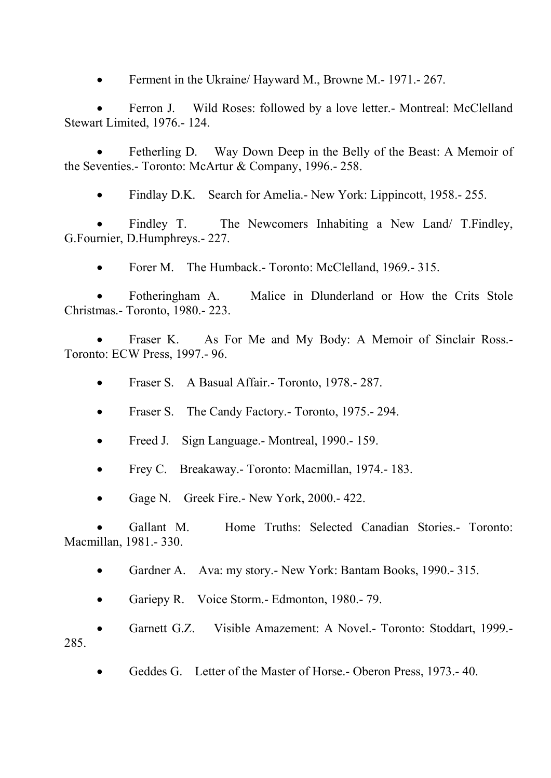• Ferment in the Ukraine/ Hayward M., Browne M. - 1971. - 267.

• Ferron J. Wild Roses: followed by a love letter.- Montreal: McClelland Stewart Limited, 1976.- 124.

Fetherling D. Way Down Deep in the Belly of the Beast: A Memoir of the Seventies.- Toronto: McArtur & Company, 1996.- 258.

• Findlay D.K. Search for Amelia. New York: Lippincott, 1958. - 255.

Findley T. The Newcomers Inhabiting a New Land/ T. Findley, G.Fournier, D.Humphreys.- 227.

• Forer M. The Humback.- Toronto: McClelland, 1969.- 315.

• Fotheringham A. Malice in Dlunderland or How the Crits Stole Christmas.- Toronto, 1980.- 223.

• Fraser K. As For Me and My Body: A Memoir of Sinclair Ross.- Toronto: ECW Press, 1997.- 96.

• Fraser S. A Basual Affair. - Toronto, 1978. - 287.

- Fraser S. The Candy Factory. Toronto, 1975. 294.
- Freed J. Sign Language.- Montreal, 1990.-159.
- Frey C. Breakaway.- Toronto: Macmillan, 1974.- 183.
- Gage N. Greek Fire.- New York, 2000.-422.

• Gallant M. Home Truths: Selected Canadian Stories.- Toronto: Macmillan, 1981.- 330.

- Gardner A. Ava: my story. New York: Bantam Books, 1990. 315.
- Gariepy R. Voice Storm.- Edmonton, 1980.-79.

• Garnett G.Z. Visible Amazement: A Novel.- Toronto: Stoddart, 1999.- 285.

• Geddes G. Letter of the Master of Horse. - Oberon Press, 1973. - 40.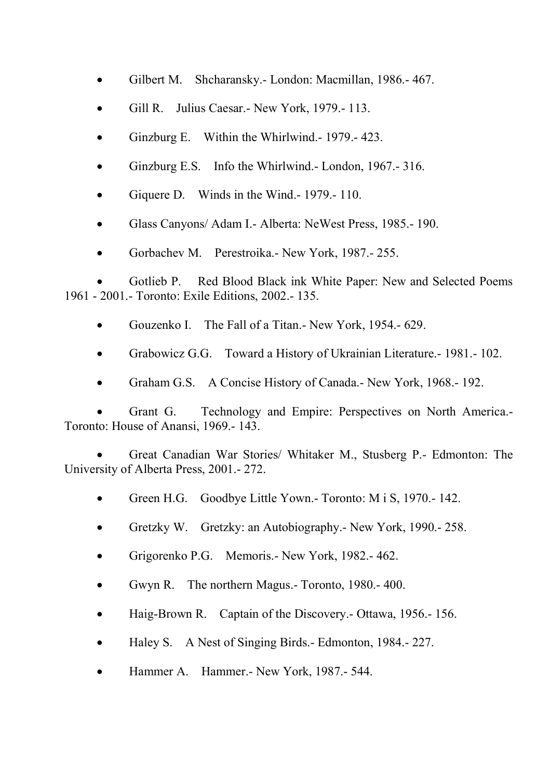- Gilbert M. Shcharansky.- London: Macmillan, 1986.-467.
- Gill R. Julius Caesar.- New York, 1979.- 113.
- Ginzburg E. Within the Whirlwind.- 1979.- 423.
- Ginzburg E.S. Info the Whirlwind.- London, 1967.- 316.
- Giquere D. Winds in the Wind.-1979.-110.
- Glass Canyons/ Adam I.- Alberta: NeWest Press, 1985.- 190.
- Gorbachev M. Perestroika.- New York, 1987.- 255.

Gotlieb P. Red Blood Black ink White Paper: New and Selected Poems 1961 - 2001.- Toronto: Exile Editions, 2002.- 135.

- Gouzenko I. The Fall of a Titan.- New York, 1954.- 629.
- Grabowicz G.G. Toward a History of Ukrainian Literature.- 1981.- 102.
- Graham G.S. A Concise History of Canada.- New York, 1968.- 192.

• Grant G. Technology and Empire: Perspectives on North America.- Toronto: House of Anansi, 1969.- 143.

• Great Canadian War Stories/ Whitaker M., Stusberg P.- Edmonton: The University of Alberta Press, 2001.- 272.

- Green H.G. Goodbye Little Yown.- Toronto: M i S, 1970.-142.
- Gretzky W. Gretzky: an Autobiography. New York, 1990. 258.
- Grigorenko P.G. Memoris.- New York, 1982.- 462.
- Gwyn R. The northern Magus.- Toronto, 1980.- 400.
- Haig-Brown R. Captain of the Discovery. Ottawa, 1956. 156.
- Haley S. A Nest of Singing Birds. Edmonton, 1984. 227.
- Hammer A. Hammer.- New York, 1987.- 544.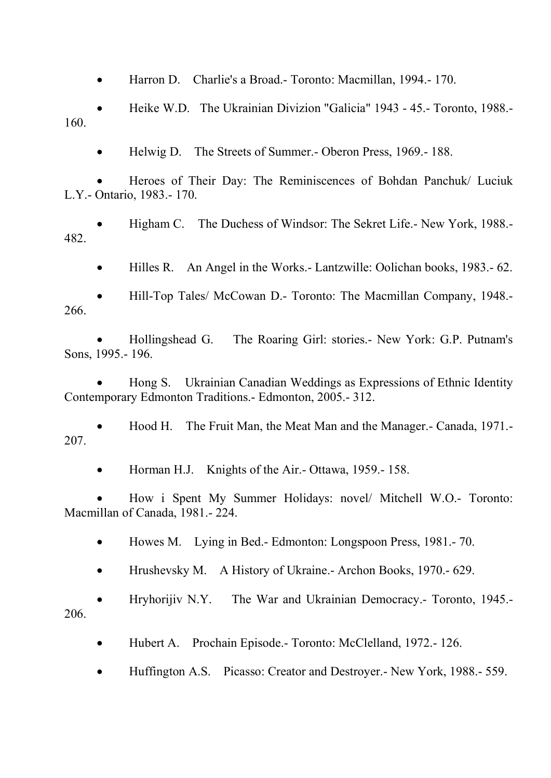• Harron D. Charlie's a Broad.- Toronto: Macmillan, 1994.- 170.

• Heike W.D. The Ukrainian Divizion "Galicia" 1943 - 45.- Toronto, 1988.- 160.

• Helwig D. The Streets of Summer.- Oberon Press, 1969.- 188.

• Heroes of Their Day: The Reminiscences of Bohdan Panchuk/ Luciuk L.Y.- Ontario, 1983.- 170.

• Higham C. The Duchess of Windsor: The Sekret Life.- New York, 1988.- 482.

• Hilles R. An Angel in the Works.- Lantzwille: Oolichan books, 1983.- 62.

• Hill-Top Tales/ McCowan D.- Toronto: The Macmillan Company, 1948.- 266.

• Hollingshead G. The Roaring Girl: stories.- New York: G.P. Putnam's Sons, 1995.- 196.

• Hong S. Ukrainian Canadian Weddings as Expressions of Ethnic Identity Contemporary Edmonton Traditions.- Edmonton, 2005.- 312.

• Hood H. The Fruit Man, the Meat Man and the Manager.- Canada, 1971.- 207.

• Horman H.J. Knights of the Air.- Ottawa, 1959.- 158.

• How i Spent My Summer Holidays: novel/ Mitchell W.O.- Toronto: Macmillan of Canada, 1981.- 224.

• Howes M. Lying in Bed.- Edmonton: Longspoon Press, 1981.-70.

• Hrushevsky M. A History of Ukraine. Archon Books, 1970. - 629.

• Hryhorijiv N.Y. The War and Ukrainian Democracy.- Toronto, 1945.- 206.

• Hubert A. Prochain Episode.- Toronto: McClelland, 1972.-126.

• Huffington A.S. Picasso: Creator and Destroyer. - New York, 1988. - 559.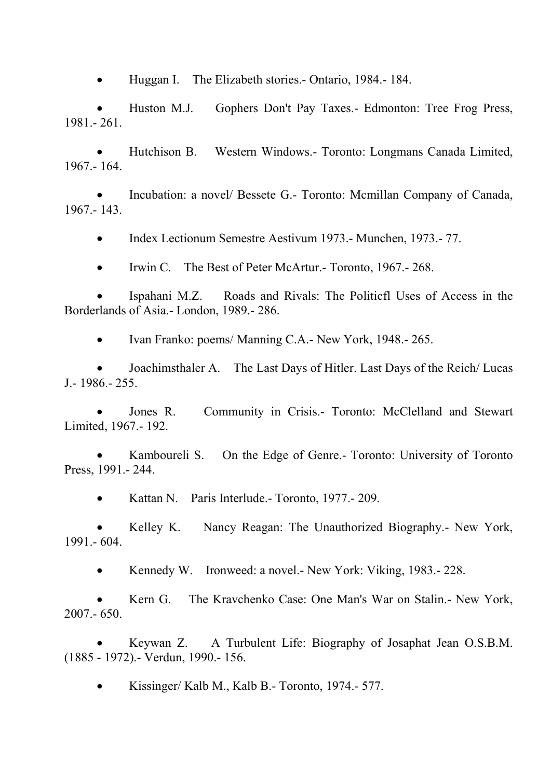• Huggan I. The Elizabeth stories. - Ontario, 1984. - 184.

• Huston M.J. Gophers Don't Pay Taxes.- Edmonton: Tree Frog Press, 1981.- 261.

• Hutchison B. Western Windows.- Toronto: Longmans Canada Limited, 1967.- 164.

• Incubation: a novel/ Bessete G.- Toronto: Mcmillan Company of Canada, 1967.- 143.

• Index Lectionum Semestre Aestivum 1973.- Munchen, 1973.- 77.

• Irwin C. The Best of Peter McArtur.- Toronto, 1967.-268.

• Ispahani M.Z. Roads and Rivals: The Politicfl Uses of Access in the Borderlands of Asia.- London, 1989.- 286.

• Ivan Franko: poems/ Manning C.A.- New York, 1948.-265.

• Joachimsthaler A. The Last Days of Hitler. Last Days of the Reich/ Lucas J.- 1986.- 255.

Jones R. Community in Crisis.- Toronto: McClelland and Stewart Limited, 1967.- 192.

Kamboureli S. On the Edge of Genre.- Toronto: University of Toronto Press, 1991.- 244.

• Kattan N. Paris Interlude. Toronto, 1977. - 209.

• Kelley K. Nancy Reagan: The Unauthorized Biography.- New York, 1991.- 604.

• Kennedy W. Ironweed: a novel. - New York: Viking, 1983. - 228.

• Kern G. The Kravchenko Case: One Man's War on Stalin.- New York, 2007.- 650.

• Keywan Z. A Turbulent Life: Biography of Josaphat Jean O.S.B.M. (1885 - 1972).- Verdun, 1990.- 156.

• Kissinger/ Kalb M., Kalb B.- Toronto, 1974.- 577.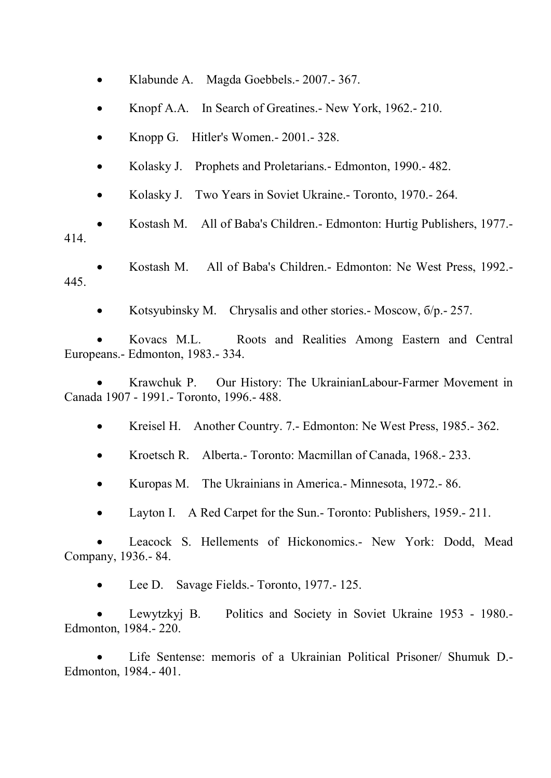- Klabunde A. Magda Goebbels. 2007. 367.
- Knopf A.A. In Search of Greatines.- New York, 1962.- 210.
- Knopp G. Hitler's Women.- 2001.- 328.
- Kolasky J. Prophets and Proletarians.- Edmonton, 1990.- 482.
- Kolasky J. Two Years in Soviet Ukraine.- Toronto, 1970.-264.

• Kostash M. All of Baba's Children.- Edmonton: Hurtig Publishers, 1977.- 414.

- Kostash M. All of Baba's Children.- Edmonton: Ne West Press, 1992.- 445.
	- Kotsyubinsky M. Chrysalis and other stories. Moscow,  $\frac{6}{p}$ . 257.

• Kovacs M.L. Roots and Realities Among Eastern and Central Europeans.- Edmonton, 1983.- 334.

• Krawchuk P. Our History: The UkrainianLabour-Farmer Movement in Canada 1907 - 1991.- Toronto, 1996.- 488.

- Kreisel H. Another Country. 7. Edmonton: Ne West Press, 1985. 362.
- Kroetsch R. Alberta.- Toronto: Macmillan of Canada, 1968.- 233.
- Kuropas M. The Ukrainians in America. Minnesota, 1972. 86.
- Layton I. A Red Carpet for the Sun.- Toronto: Publishers, 1959.- 211.

Leacock S. Hellements of Hickonomics.- New York: Dodd, Mead Company, 1936.- 84.

Lee D. Savage Fields. - Toronto, 1977. - 125.

• Lewytzkyj B. Politics and Society in Soviet Ukraine 1953 - 1980.- Edmonton, 1984.- 220.

• Life Sentense: memoris of a Ukrainian Political Prisoner/ Shumuk D.- Edmonton, 1984.- 401.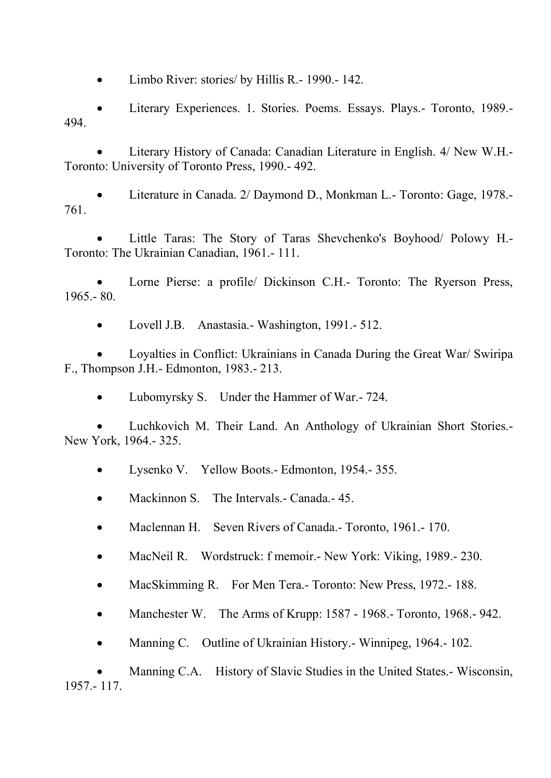• Limbo River: stories/ by Hillis R. - 1990. - 142.

• Literary Experiences. 1. Stories. Poems. Essays. Plays.- Toronto, 1989.- 494.

• Literary History of Canada: Canadian Literature in English. 4/ New W.H.- Toronto: University of Toronto Press, 1990.- 492.

• Literature in Canada. 2/ Daymond D., Monkman L.- Toronto: Gage, 1978.- 761.

• Little Taras: The Story of Taras Shevchenko's Boyhood/ Polowy H.- Toronto: The Ukrainian Canadian, 1961.- 111.

Lorne Pierse: a profile/ Dickinson C.H.- Toronto: The Ryerson Press, 1965.- 80.

• Lovell J.B. Anastasia.- Washington, 1991.- 512.

• Loyalties in Conflict: Ukrainians in Canada During the Great War/ Swiripa F., Thompson J.H.- Edmonton, 1983.- 213.

• Lubomyrsky S. Under the Hammer of War.- 724.

• Luchkovich M. Their Land. An Anthology of Ukrainian Short Stories.- New York, 1964.- 325.

• Lysenko V. Yellow Boots.- Edmonton, 1954.- 355.

• Mackinnon S. The Intervals.- Canada.- 45.

• Maclennan H. Seven Rivers of Canada.- Toronto, 1961.-170.

• MacNeil R. Wordstruck: f memoir.- New York: Viking, 1989.- 230.

• MacSkimming R. For Men Tera.- Toronto: New Press, 1972.- 188.

• Manchester W. The Arms of Krupp: 1587 - 1968.- Toronto, 1968.-942.

• Manning C. Outline of Ukrainian History. - Winnipeg, 1964. - 102.

• Manning C.A. History of Slavic Studies in the United States.- Wisconsin, 1957.- 117.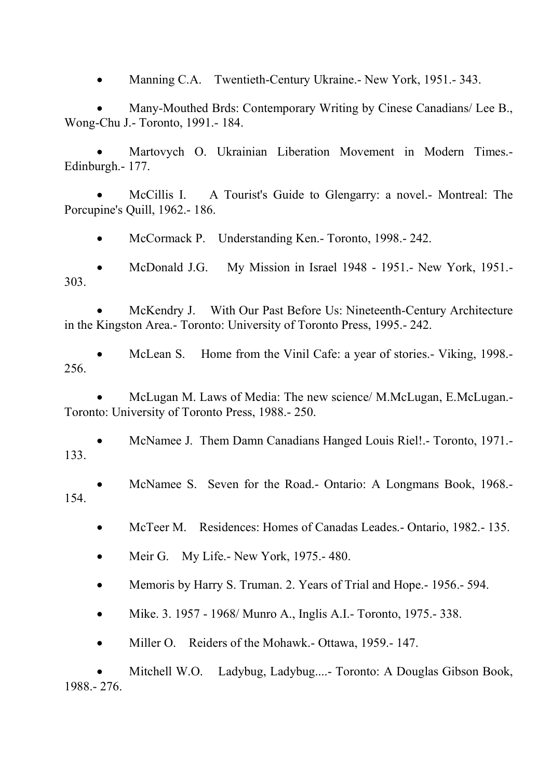• Manning C.A. Twentieth-Century Ukraine. New York, 1951. - 343.

• Many-Mouthed Brds: Contemporary Writing by Cinese Canadians/ Lee B., Wong-Chu J.- Toronto, 1991.- 184.

• Martovych O. Ukrainian Liberation Movement in Modern Times.- Edinburgh.- 177.

• McCillis I. A Tourist's Guide to Glengarry: a novel.- Montreal: The Porcupine's Quill, 1962.- 186.

• McCormack P. Understanding Ken.- Toronto, 1998.-242.

• McDonald J.G. My Mission in Israel 1948 - 1951.- New York, 1951.- 303.

• McKendry J. With Our Past Before Us: Nineteenth-Century Architecture in the Kingston Area.- Toronto: University of Toronto Press, 1995.- 242.

• McLean S. Home from the Vinil Cafe: a year of stories.- Viking, 1998.- 256.

• McLugan M. Laws of Media: The new science/ M.McLugan, E.McLugan.- Toronto: University of Toronto Press, 1988.- 250.

• McNamee J. Them Damn Canadians Hanged Louis Riel!.- Toronto, 1971.- 133.

• McNamee S. Seven for the Road.- Ontario: A Longmans Book, 1968.- 154.

- McTeer M. Residences: Homes of Canadas Leades. Ontario, 1982. 135.
- Meir G. My Life. New York, 1975. 480.
- Memoris by Harry S. Truman. 2. Years of Trial and Hope.- 1956.- 594.

• Mike. 3. 1957 - 1968/ Munro A., Inglis A.I. - Toronto, 1975. - 338.

• Miller O. Reiders of the Mohawk. - Ottawa, 1959. - 147.

• Mitchell W.O. Ladybug, Ladybug....- Toronto: A Douglas Gibson Book, 1988.- 276.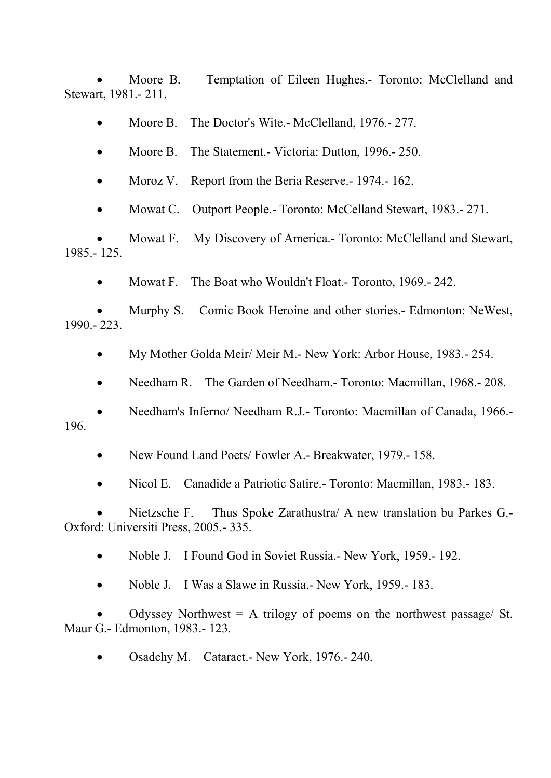• Moore B. Temptation of Eileen Hughes.- Toronto: McClelland and Stewart, 1981.- 211.

• Moore B. The Doctor's Wite.- McClelland, 1976.-277.

• Moore B. The Statement. - Victoria: Dutton, 1996. - 250.

Moroz V. Report from the Beria Reserve. - 1974. - 162.

• Mowat C. Outport People.- Toronto: McCelland Stewart, 1983.-271.

• Mowat F. My Discovery of America.- Toronto: McClelland and Stewart, 1985.- 125.

• Mowat F. The Boat who Wouldn't Float. Toronto, 1969. - 242.

• Murphy S. Comic Book Heroine and other stories.- Edmonton: NeWest, 1990.- 223.

• My Mother Golda Meir/ Meir M. - New York: Arbor House, 1983. - 254.

• Needham R. The Garden of Needham. Toronto: Macmillan, 1968. - 208.

• Needham's Inferno/ Needham R.J.- Toronto: Macmillan of Canada, 1966.- 196.

• New Found Land Poets/ Fowler A.- Breakwater, 1979.-158.

• Nicol E. Canadide a Patriotic Satire.- Toronto: Macmillan, 1983.- 183.

• Nietzsche F. Thus Spoke Zarathustra/ A new translation bu Parkes G.- Oxford: Universiti Press, 2005.- 335.

• Noble J. I Found God in Soviet Russia. - New York, 1959. - 192.

• Noble J. I Was a Slawe in Russia.- New York, 1959.- 183.

Odyssey Northwest  $= A$  trilogy of poems on the northwest passage/ St. Maur G.- Edmonton, 1983.- 123.

• Osadchy M. Cataract.- New York, 1976.- 240.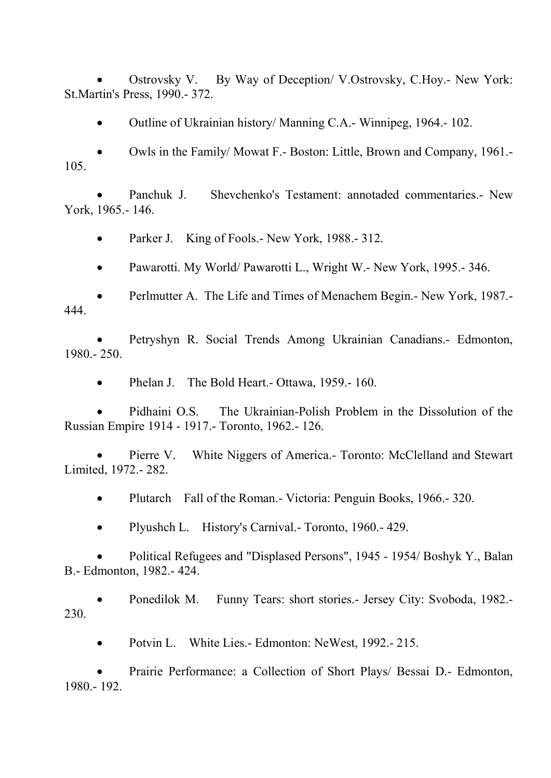• Ostrovsky V. By Way of Deception/ V.Ostrovsky, C.Hoy.- New York: St.Martin's Press, 1990.- 372.

• Outline of Ukrainian history/ Manning C.A.- Winnipeg, 1964.-102.

• Owls in the Family/ Mowat F.- Boston: Little, Brown and Company, 1961.- 105.

• Panchuk J. Shevchenko's Testament: annotaded commentaries.- New York, 1965.- 146.

• Parker J. King of Fools.- New York, 1988.- 312.

• Pawarotti. My World/ Pawarotti L., Wright W. - New York, 1995. - 346.

• Perlmutter A. The Life and Times of Menachem Begin.- New York, 1987.- 444.

• Petryshyn R. Social Trends Among Ukrainian Canadians.- Edmonton, 1980.- 250.

• Phelan J. The Bold Heart. - Ottawa, 1959. - 160.

• Pidhaini O.S. The Ukrainian-Polish Problem in the Dissolution of the Russian Empire 1914 - 1917.- Toronto, 1962.- 126.

Pierre V. White Niggers of America.- Toronto: McClelland and Stewart Limited, 1972.- 282.

• Plutarch Fall of the Roman. - Victoria: Penguin Books, 1966. - 320.

• Plyushch L. History's Carnival. - Toronto, 1960. - 429.

• Political Refugees and "Displased Persons", 1945 - 1954/ Boshyk Y., Balan B.- Edmonton, 1982.- 424.

• Ponedilok M. Funny Tears: short stories.- Jersey City: Svoboda, 1982.- 230.

• Potvin L. White Lies. - Edmonton: NeWest, 1992. - 215.

• Prairie Performance: a Collection of Short Plays/ Bessai D.- Edmonton, 1980.- 192.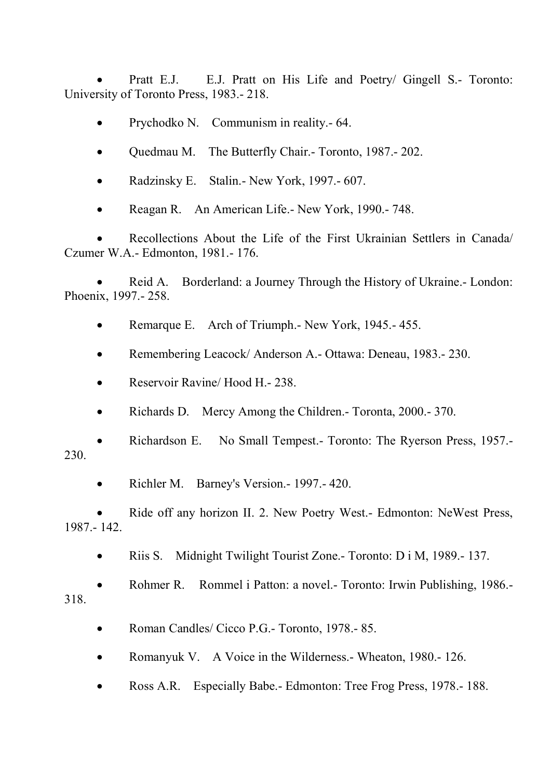• Pratt E.J. E.J. Pratt on His Life and Poetry/ Gingell S.- Toronto: University of Toronto Press, 1983.- 218.

- Prychodko N. Communism in reality.- 64.
- Quedmau M. The Butterfly Chair. Toronto, 1987. 202.
- Radzinsky E. Stalin.- New York, 1997.- 607.
- Reagan R. An American Life.- New York, 1990.- 748.

• Recollections About the Life of the First Ukrainian Settlers in Canada/ Czumer W.A.- Edmonton, 1981.- 176.

Reid A. Borderland: a Journey Through the History of Ukraine.- London: Phoenix, 1997.- 258.

- Remarque E. Arch of Triumph.- New York, 1945.- 455.
- Remembering Leacock/ Anderson A.- Ottawa: Deneau, 1983.- 230.
- Reservoir Ravine/ Hood H. 238.
- Richards D. Mercy Among the Children. Toronta, 2000. 370.

• Richardson E. No Small Tempest.- Toronto: The Ryerson Press, 1957.- 230.

• Richler M. Barney's Version. - 1997. - 420.

• Ride off any horizon II. 2. New Poetry West.- Edmonton: NeWest Press, 1987.- 142.

• Riis S. Midnight Twilight Tourist Zone.- Toronto: D i M, 1989.-137.

• Rohmer R. Rommel i Patton: a novel.- Toronto: Irwin Publishing, 1986.- 318.

- Roman Candles/ Cicco P.G.- Toronto, 1978.-85.
- Romanyuk V. A Voice in the Wilderness.- Wheaton, 1980.- 126.
- Ross A.R. Especially Babe.- Edmonton: Tree Frog Press, 1978.- 188.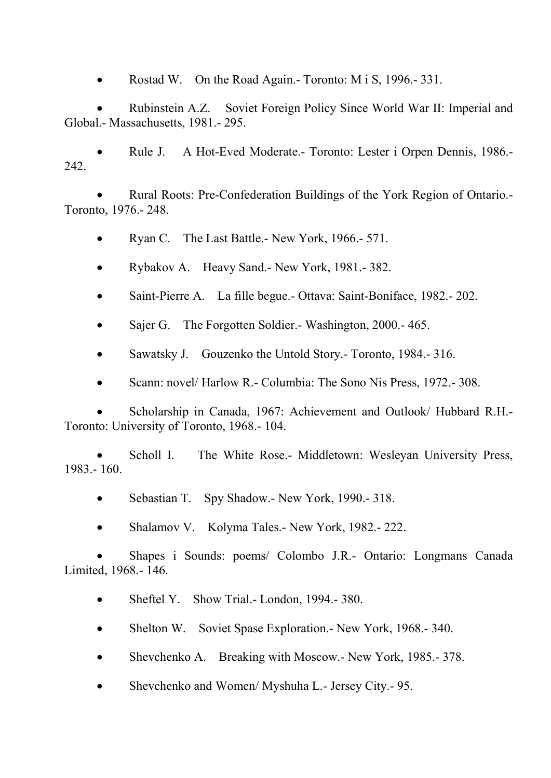• Rostad W. On the Road Again.- Toronto: M i S, 1996.-331.

• Rubinstein A.Z. Soviet Foreign Policy Since World War II: Imperial and Global.- Massachusetts, 1981.- 295.

• Rule J. A Hot-Eved Moderate.- Toronto: Lester i Orpen Dennis, 1986.- 242.

• Rural Roots: Pre-Confederation Buildings of the York Region of Ontario.- Toronto, 1976.- 248.

• Ryan C. The Last Battle.- New York, 1966.- 571.

- Rybakov A. Heavy Sand.- New York, 1981.- 382.
- Saint-Pierre A. La fille begue.- Ottava: Saint-Boniface, 1982.- 202.
- Sajer G. The Forgotten Soldier.- Washington, 2000.- 465.

• Sawatsky J. Gouzenko the Untold Story.- Toronto, 1984.- 316.

• Scann: novel/ Harlow R. - Columbia: The Sono Nis Press, 1972. - 308.

• Scholarship in Canada, 1967: Achievement and Outlook/ Hubbard R.H.- Toronto: University of Toronto, 1968.- 104.

Scholl I. The White Rose.- Middletown: Wesleyan University Press, 1983.- 160.

- Sebastian T. Spy Shadow.- New York, 1990.-318.
- Shalamov V. Kolyma Tales. New York, 1982. 222.

• Shapes i Sounds: poems/ Colombo J.R.- Ontario: Longmans Canada Limited, 1968.- 146.

- Sheftel Y. Show Trial.- London, 1994.-380.
- Shelton W. Soviet Spase Exploration. New York, 1968. 340.
- Shevchenko A. Breaking with Moscow.- New York, 1985.- 378.
- Shevchenko and Women/ Myshuha L.- Jersey City.- 95.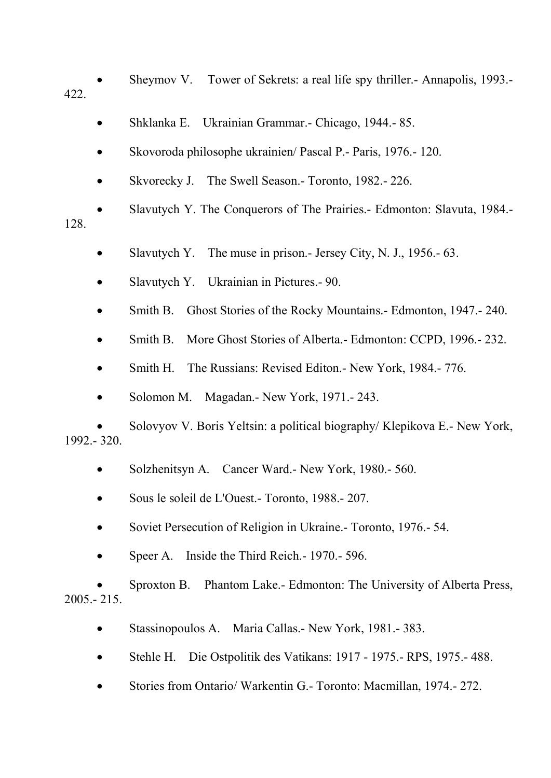• Sheymov V. Tower of Sekrets: a real life spy thriller.- Annapolis, 1993.- 422.

- Shklanka E. Ukrainian Grammar.- Chicago, 1944.- 85.
- Skovoroda philosophe ukrainien/ Pascal P.- Paris, 1976.- 120.
- Skvorecky J. The Swell Season.- Toronto, 1982.- 226.

• Slavutych Y. The Conquerors of The Prairies.- Edmonton: Slavuta, 1984.- 128.

- Slavutych Y. The muse in prison.- Jersey City, N. J., 1956.- 63.
- Slavutych Y. Ukrainian in Pictures.- 90.
- Smith B. Ghost Stories of the Rocky Mountains. Edmonton, 1947. 240.
- Smith B. More Ghost Stories of Alberta.- Edmonton: CCPD, 1996.- 232.
- Smith H. The Russians: Revised Editon.- New York, 1984.- 776.
- Solomon M. Magadan.- New York, 1971.- 243.

• Solovyov V. Boris Yeltsin: a political biography/ Klepikova E.- New York, 1992.- 320.

- Solzhenitsyn A. Cancer Ward.- New York, 1980.- 560.
- Sous le soleil de L'Ouest.- Toronto, 1988.- 207.
- Soviet Persecution of Religion in Ukraine. Toronto, 1976. 54.
- Speer A. Inside the Third Reich. 1970. 596.

• Sproxton B. Phantom Lake.- Edmonton: The University of Alberta Press,  $2005 - 215$ 

- Stassinopoulos A. Maria Callas. New York, 1981. 383.
- Stehle H. Die Ostpolitik des Vatikans: 1917 1975.- RPS, 1975.- 488.
- Stories from Ontario/ Warkentin G.- Toronto: Macmillan, 1974.- 272.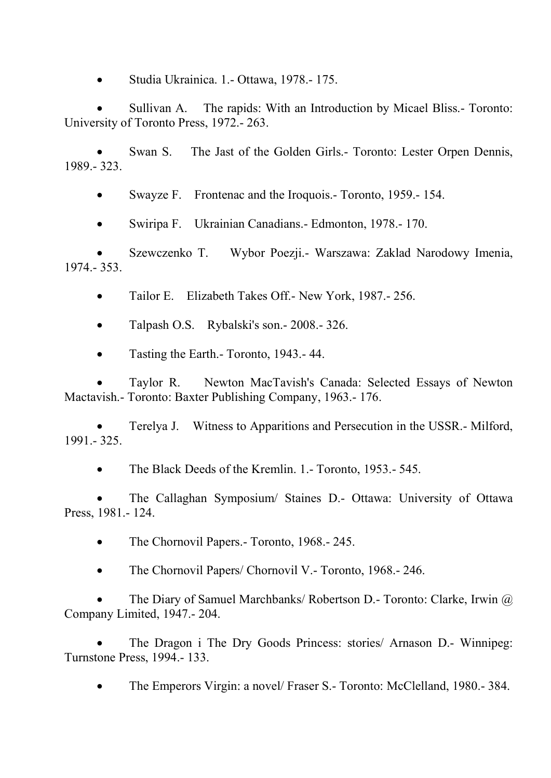• Studia Ukrainica. 1.- Ottawa, 1978.- 175.

• Sullivan A. The rapids: With an Introduction by Micael Bliss.- Toronto: University of Toronto Press, 1972.- 263.

Swan S. The Jast of the Golden Girls.- Toronto: Lester Orpen Dennis, 1989.- 323.

• Swayze F. Frontenac and the Iroquois. Toronto, 1959. - 154.

• Swiripa F. Ukrainian Canadians.- Edmonton, 1978.- 170.

• Szewczenko T. Wybor Poezji.- Warszawa: Zaklad Narodowy Imenia, 1974.- 353.

• Tailor E. Elizabeth Takes Off. - New York, 1987. - 256.

• Talpash O.S. Rybalski's son.- 2008.- 326.

• Tasting the Earth.- Toronto, 1943.- 44.

• Taylor R. Newton MacTavish's Canada: Selected Essays of Newton Mactavish.- Toronto: Baxter Publishing Company, 1963.- 176.

• Terelya J. Witness to Apparitions and Persecution in the USSR.- Milford, 1991.- 325.

• The Black Deeds of the Kremlin. 1.- Toronto, 1953.- 545.

• The Callaghan Symposium/ Staines D.- Ottawa: University of Ottawa Press, 1981.- 124.

• The Chornovil Papers. - Toronto, 1968. - 245.

• The Chornovil Papers/ Chornovil V. - Toronto, 1968. - 246.

• The Diary of Samuel Marchbanks/ Robertson D.- Toronto: Clarke, Irwin @ Company Limited, 1947.- 204.

• The Dragon i The Dry Goods Princess: stories/ Arnason D.- Winnipeg: Turnstone Press, 1994.- 133.

• The Emperors Virgin: a novel/ Fraser S.- Toronto: McClelland, 1980.- 384.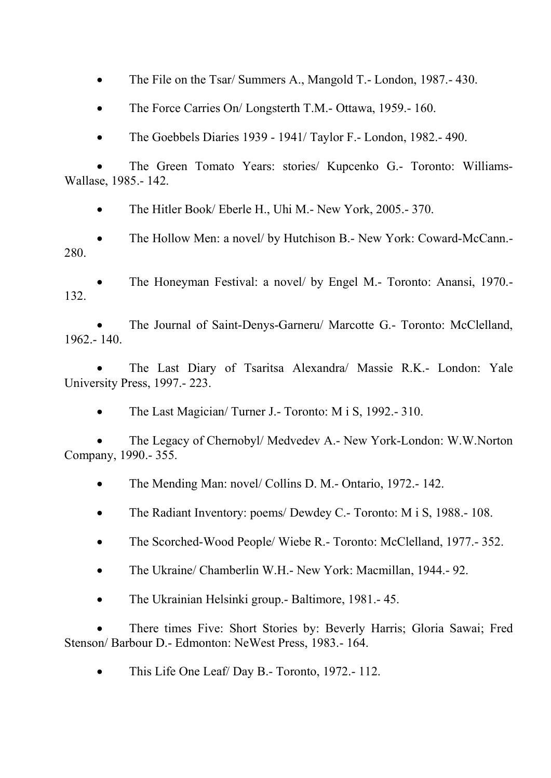• The File on the Tsar/ Summers A., Mangold T.- London, 1987.-430.

• The Force Carries On/ Longsterth T.M.- Ottawa, 1959.- 160.

• The Goebbels Diaries 1939 - 1941/ Taylor F.- London, 1982.- 490.

• The Green Tomato Years: stories/ Kupcenko G.- Toronto: Williams-Wallase, 1985.- 142.

• The Hitler Book/ Eberle H., Uhi M.- New York, 2005.-370.

• The Hollow Men: a novel/ by Hutchison B.- New York: Coward-McCann.- 280.

• The Honeyman Festival: a novel/ by Engel M.- Toronto: Anansi, 1970.- 132.

• The Journal of Saint-Denys-Garneru/ Marcotte G.- Toronto: McClelland,  $1962 - 140$ 

• The Last Diary of Tsaritsa Alexandra/ Massie R.K.- London: Yale University Press, 1997.- 223.

• The Last Magician/ Turner J.- Toronto: M i S, 1992.- 310.

• The Legacy of Chernobyl/ Medvedev A.- New York-London: W.W.Norton Company, 1990.- 355.

• The Mending Man: novel/ Collins D. M. - Ontario, 1972. - 142.

- The Radiant Inventory: poems/ Dewdey C.- Toronto: M i S, 1988.- 108.
- The Scorched-Wood People/ Wiebe R.- Toronto: McClelland, 1977.- 352.
- The Ukraine/ Chamberlin W.H.- New York: Macmillan, 1944.-92.
- The Ukrainian Helsinki group.- Baltimore, 1981.- 45.

• There times Five: Short Stories by: Beverly Harris; Gloria Sawai; Fred Stenson/ Barbour D.- Edmonton: NeWest Press, 1983.- 164.

• This Life One Leaf/ Day B.- Toronto, 1972.-112.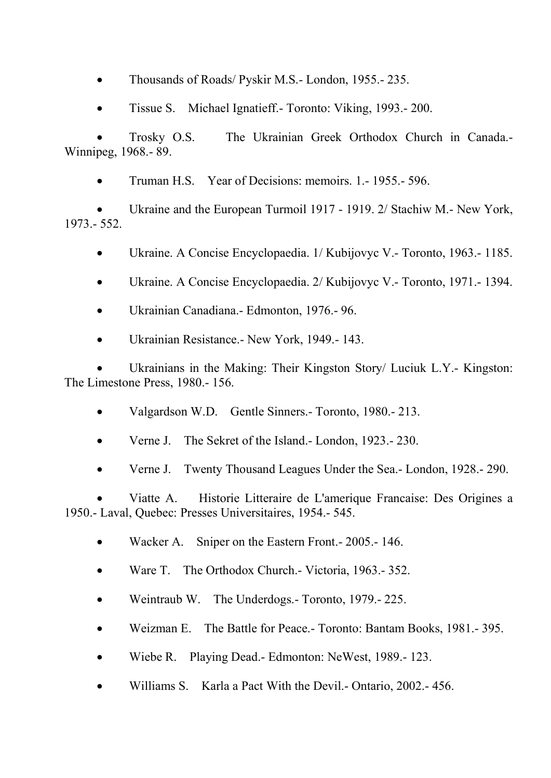- Thousands of Roads/ Pyskir M.S.- London, 1955.-235.
- Tissue S. Michael Ignatieff.- Toronto: Viking, 1993.- 200.

• Trosky O.S. The Ukrainian Greek Orthodox Church in Canada.- Winnipeg, 1968.- 89.

• Truman H.S. Year of Decisions: memoirs. 1.- 1955.- 596.

Ukraine and the European Turmoil 1917 - 1919. 2/ Stachiw M.- New York, 1973.- 552.

- Ukraine. A Concise Encyclopaedia. 1/ Kubijovyc V.- Toronto, 1963.- 1185.
- Ukraine. A Concise Encyclopaedia. 2/ Kubijovyc V.- Toronto, 1971.- 1394.
- Ukrainian Canadiana.- Edmonton, 1976.- 96.
- Ukrainian Resistance.- New York, 1949.- 143.

Ukrainians in the Making: Their Kingston Story/ Luciuk L.Y.- Kingston: The Limestone Press, 1980.- 156.

- Valgardson W.D. Gentle Sinners. Toronto, 1980. 213.
- Verne J. The Sekret of the Island.- London, 1923.-230.
- Verne J. Twenty Thousand Leagues Under the Sea.- London, 1928.- 290.

• Viatte A. Historie Litteraire de L'amerique Francaise: Des Origines a 1950.- Laval, Quebec: Presses Universitaires, 1954.- 545.

- Wacker A. Sniper on the Eastern Front. 2005. 146.
- Ware T. The Orthodox Church.- Victoria, 1963.- 352.
- Weintraub W. The Underdogs.- Toronto, 1979.- 225.
- Weizman E. The Battle for Peace.- Toronto: Bantam Books, 1981.- 395.
- Wiebe R. Playing Dead.- Edmonton: NeWest, 1989.- 123.
- Williams S. Karla a Pact With the Devil.- Ontario, 2002.- 456.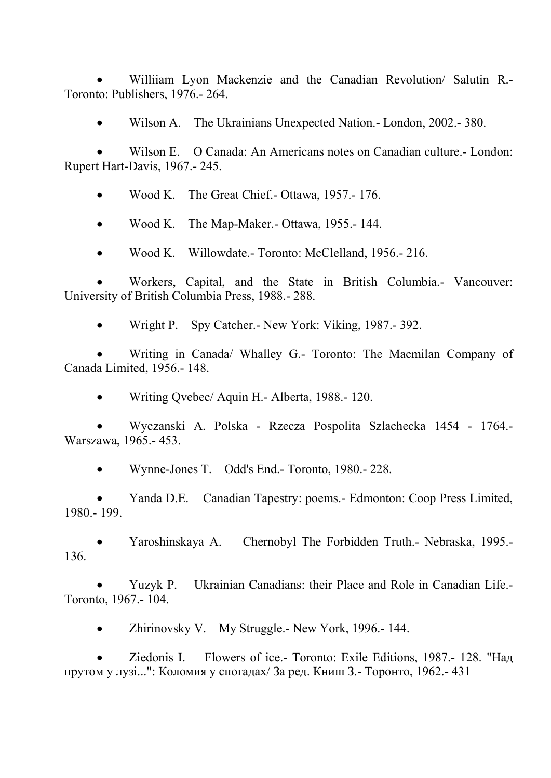• Williiam Lyon Mackenzie and the Canadian Revolution/ Salutin R.- Toronto: Publishers, 1976.- 264.

• Wilson A. The Ukrainians Unexpected Nation.- London, 2002.- 380.

• Wilson E. O Canada: An Americans notes on Canadian culture.- London: Rupert Hart-Davis, 1967.- 245.

• Wood K. The Great Chief.- Ottawa, 1957.-176.

• Wood K. The Map-Maker. - Ottawa, 1955. - 144.

• Wood K. Willowdate.- Toronto: McClelland, 1956.- 216.

• Workers, Capital, and the State in British Columbia.- Vancouver: University of British Columbia Press, 1988.- 288.

• Wright P. Spy Catcher.- New York: Viking, 1987.- 392.

• Writing in Canada/ Whalley G.- Toronto: The Macmilan Company of Canada Limited, 1956.- 148.

• Writing Qvebec/ Aquin H.- Alberta, 1988.- 120.

• Wyczanski A. Polska - Rzecza Pospolita Szlachecka 1454 - 1764.- Warszawa, 1965.- 453.

• Wynne-Jones T. Odd's End.- Toronto, 1980.- 228.

• Yanda D.E. Canadian Tapestry: poems.- Edmonton: Coop Press Limited, 1980.- 199.

• Yaroshinskaya A. Chernobyl The Forbidden Truth.- Nebraska, 1995.- 136.

• Yuzyk P. Ukrainian Canadians: their Place and Role in Canadian Life.- Toronto, 1967.- 104.

• Zhirinovsky V. My Struggle.- New York, 1996.- 144.

• Ziedonis I. Flowers of ice.- Toronto: Exile Editions, 1987.- 128. "Над прутом у лузі...": Коломия у спогадах/ За ред. Книш З.- Торонто, 1962.- 431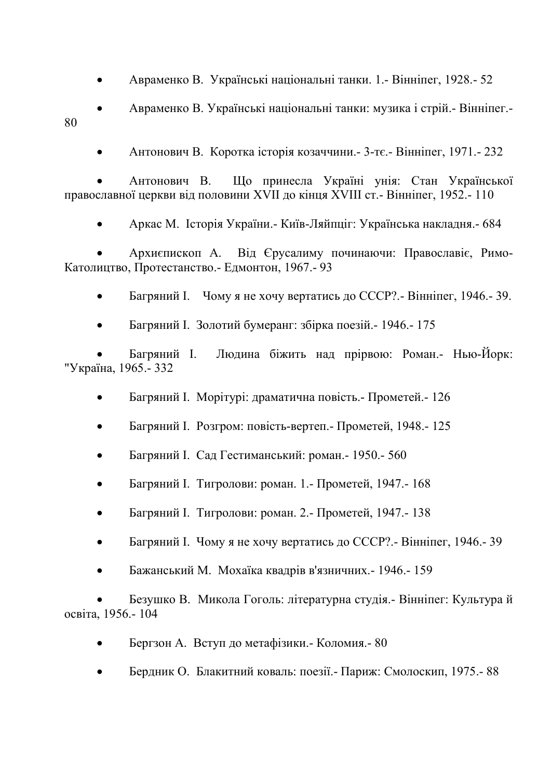• Авраменко В. Українські національні танки. 1.- Вінніпег, 1928.- 52

• Авраменко В. Українські національні танки: музика і стрій.- Вінніпег.- 80

• Антонович В. Коротка історія козаччини.- 3-тє.- Вінніпег, 1971.- 232

• Антонович В. Що принесла Україні унія: Стан Української православної церкви від половини XVII до кінця XVIII ст.- Вінніпег, 1952.- 110

• Аркас М. Історія України.- Київ-Ляйпціг: Українська накладня.- 684

• Архиєпископ А. Від Єрусалиму починаючи: Православіє, Римо-Католицтво, Протестанство.- Едмонтон, 1967.- 93

• Багряний І. Чому я не хочу вертатись до СССР?.- Вінніпег, 1946.- 39.

• Багряний І. Золотий бумеранг: збірка поезій.- 1946.- 175

• Багряний І. Людина біжить над прірвою: Роман.- Нью-Йорк: "Україна, 1965.- 332

- Багряний І. Морітурі: драматична повість.- Прометей.- 126
- Багряний І. Розгром: повість-вертеп.- Прометей, 1948.- 125
- Багряний І. Сад Гестиманський: роман.- 1950.- 560
- Багряний І. Тигролови: роман. 1.- Прометей, 1947.- 168
- Багряний І. Тигролови: роман. 2.- Прометей, 1947.- 138
- Багряний І. Чому я не хочу вертатись до СССР?.- Вінніпег, 1946.- 39
- Бажанський М. Мохаїка квадрів в'язничних.- 1946.- 159

• Безушко В. Микола Гоголь: літературна студія.- Вінніпег: Культура й освіта, 1956.- 104

- Бергзон А. Вступ до метафізики.- Коломия.- 80
- Бердник О. Блакитний коваль: поезії.- Париж: Смолоскип, 1975.- 88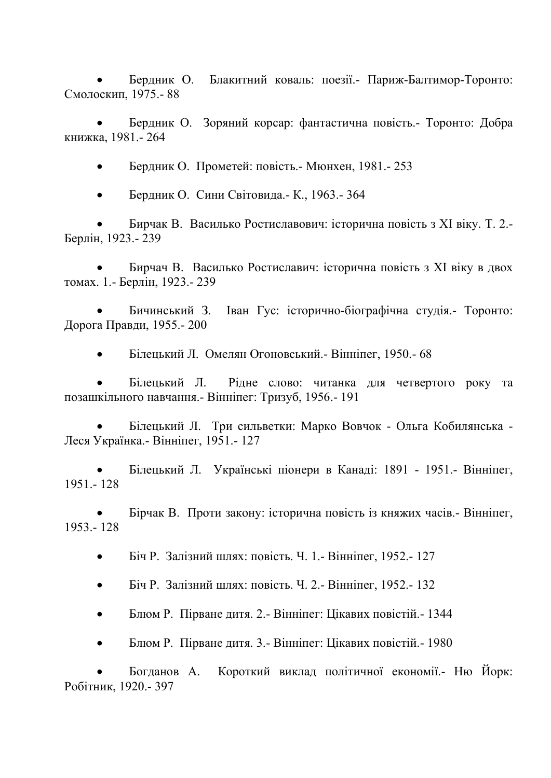• Бердник О. Блакитний коваль: поезії.- Париж-Балтимор-Торонто: Смолоскип, 1975.- 88

• Бердник О. Зоряний корсар: фантастична повість.- Торонто: Добра книжка, 1981.- 264

• Бердник О. Прометей: повість.- Мюнхен, 1981.- 253

• Бердник О. Сини Світовида.- К., 1963.- 364

• Бирчак В. Василько Ростиславович: історична повість з ХІ віку. Т. 2.- Берлін, 1923.- 239

• Бирчач В. Василько Ростиславич: історична повість з ХІ віку в двох томах. 1.- Берлін, 1923.- 239

• Бичинський З. Іван Гус: історично-біографічна студія.- Торонто: Дорога Правди, 1955.- 200

• Білецький Л. Омелян Огоновський.- Вінніпег, 1950.- 68

• Білецький Л. Рідне слово: читанка для четвертого року та позашкільного навчання.- Вінніпег: Тризуб, 1956.- 191

• Білецький Л. Три сильветки: Марко Вовчок - Ольга Кобилянська - Леся Українка.- Вінніпег, 1951.- 127

• Білецький Л. Українські піонери в Канаді: 1891 - 1951.- Вінніпег, 1951.- 128

• Бірчак В. Проти закону: історична повість із княжих часів.- Вінніпег, 1953.- 128

• Біч Р. Залізний шлях: повість. Ч. 1.- Вінніпег, 1952.- 127

• Біч Р. Залізний шлях: повість. Ч. 2.- Вінніпег, 1952.- 132

• Блюм Р. Пірване дитя. 2.- Вінніпег: Цікавих повістій.- 1344

• Блюм Р. Пірване дитя. 3.- Вінніпег: Цікавих повістій.- 1980

• Богданов А. Короткий виклад політичної економії.- Ню Йорк: Робітник, 1920.- 397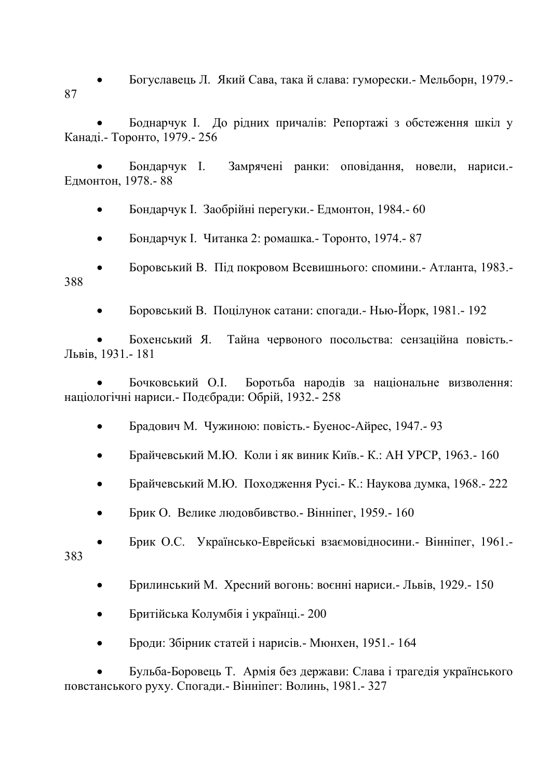• Богуславець Л. Який Сава, така й слава: гуморески.- Мельборн, 1979.- 87

• Боднарчук І. До рідних причалів: Репортажі з обстеження шкіл у Канаді.- Торонто, 1979.- 256

• Бондарчук І. Замрячені ранки: оповідання, новели, нариси.- Едмонтон, 1978.- 88

• Бондарчук І. Заобрійні перегуки.- Едмонтон, 1984.- 60

• Бондарчук І. Читанка 2: ромашка.- Торонто, 1974.- 87

• Боровський В. Під покровом Всевишнього: спомини.- Атланта, 1983.- 388

• Боровський В. Поцілунок сатани: спогади.- Нью-Йорк, 1981.- 192

• Бохенський Я. Тайна червоного посольства: сензаційна повість.- Львів, 1931.- 181

• Бочковський О.І. Боротьба народів за національне визволення: націологічні нариси.- Подєбради: Обрій, 1932.- 258

- Брадович М. Чужиною: повість.- Буенос-Айрес, 1947.- 93
- Брайчевський М.Ю. Коли і як виник Київ.- К.: АН УРСР, 1963.- 160
- Брайчевський М.Ю. Походження Русі.- К.: Наукова думка, 1968.- 222
- Брик О. Велике людовбивство.- Вінніпег, 1959.- 160

• Брик О.С. Українсько-Еврейські взаємовідносини.- Вінніпег, 1961.- 383

- Брилинський М. Хресний вогонь: воєнні нариси.- Львів, 1929.- 150
- Бритійська Колумбія і українці.- 200
- Броди: Збірник статей і нарисів.- Мюнхен, 1951.- 164

• Бульба-Боровець Т. Армія без держави: Слава і трагедія українського повстанського руху. Спогади.- Вінніпег: Волинь, 1981.- 327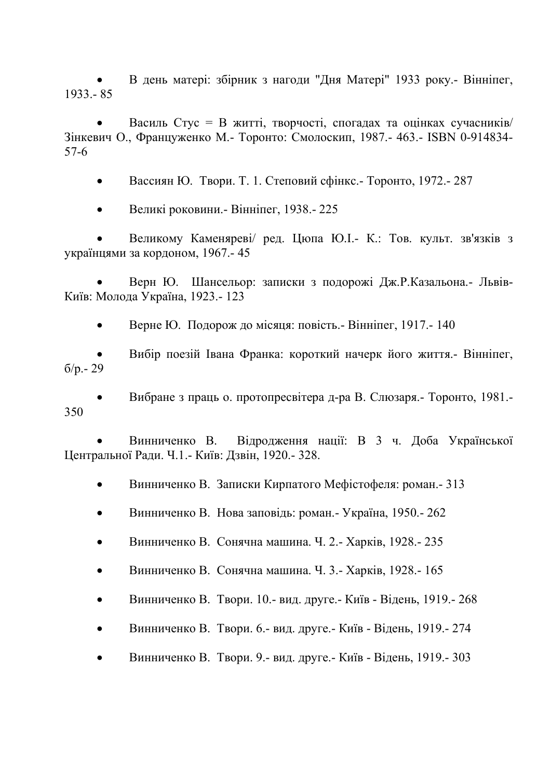• В день матері: збірник з нагоди "Дня Матері" 1933 року.- Вінніпег, 1933.- 85

• Василь Стус = В житті, творчості, спогадах та оцінках сучасників/ Зінкевич О., Француженко М.- Торонто: Смолоскип, 1987.- 463.- ISBN 0-914834- 57-6

• Вассиян Ю. Твори. Т. 1. Степовий сфінкс.- Торонто, 1972.- 287

• Великі роковини.- Вінніпег, 1938.- 225

• Великому Каменяреві/ ред. Цюпа Ю.І.- К.: Тов. культ. зв'язків з українцями за кордоном, 1967.- 45

• Верн Ю. Шансельор: записки з подорожі Дж.Р.Казальона.- Львів-Київ: Молода Україна, 1923.- 123

• Верне Ю. Подорож до місяця: повість.- Вінніпег, 1917.- 140

• Вибір поезій Івана Франка: короткий начерк його життя.- Вінніпег, б/р.- 29

• Вибране з праць о. протопресвітера д-ра В. Слюзаря.- Торонто, 1981.- 350

• Винниченко В. Відродження нації: В 3 ч. Доба Української Центральної Ради. Ч.1.- Київ: Дзвін, 1920.- 328.

• Винниченко В. Записки Кирпатого Мефістофеля: роман.- 313

• Винниченко В. Нова заповідь: роман.- Україна, 1950.- 262

• Винниченко В. Сонячна машина. Ч. 2.- Харків, 1928.- 235

• Винниченко В. Сонячна машина. Ч. 3.- Харків, 1928.- 165

• Винниченко В. Твори. 10.- вид. друге.- Київ - Відень, 1919.- 268

• Винниченко В. Твори. 6.- вид. друге.- Київ - Відень, 1919.- 274

• Винниченко В. Твори. 9.- вид. друге.- Київ - Відень, 1919.- 303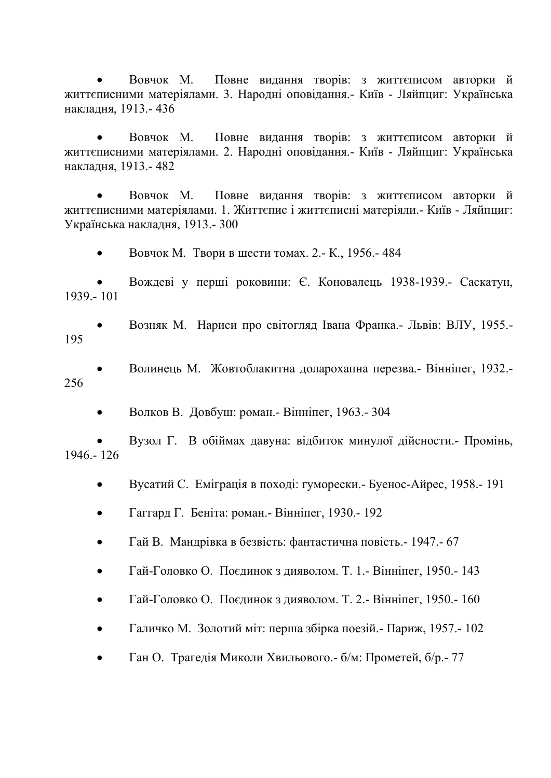• Вовчок М. Повне видання творів: з життєписом авторки й життєписними матеріялами. 3. Народні оповідання.- Київ - Ляйпциг: Українська накладня, 1913.- 436

• Вовчок М. Повне видання творів: з життєписом авторки й життєписними матеріялами. 2. Народні оповідання.- Київ - Ляйпциг: Українська накладня, 1913.- 482

• Вовчок М. Повне видання творів: з життєписом авторки й життєписними матеріялами. 1. Життєпис і життєписні матеріяли.- Київ - Ляйпциг: Українська накладня, 1913.- 300

• Вовчок М. Твори в шести томах. 2.- К., 1956.-484

• Вождеві у перші роковини: Є. Коновалець 1938-1939.- Саскатун, 1939.- 101

• Возняк М. Нариси про світогляд Івана Франка.- Львів: ВЛУ, 1955.- 195

• Волинець М. Жовтоблакитна доларохапна перезва.- Вінніпег, 1932.- 256

• Волков В. Довбуш: роман.- Вінніпег, 1963.- 304

• Вузол Г. В обіймах давуна: відбиток минулої дійсности.- Промінь, 1946.- 126

• Вусатий С. Еміграція в поході: гуморески.- Буенос-Айрес, 1958.- 191

• Гаггард Г. Беніта: роман. - Вінніпег, 1930. - 192

• Гай В. Мандрівка в безвість: фантастична повість.- 1947.- 67

• Гай-Головко О. Поєдинок з дияволом. Т. 1.- Вінніпег, 1950.- 143

• Гай-Головко О. Поєдинок з дияволом. Т. 2.- Вінніпег, 1950.- 160

• Галичко М. Золотий міт: перша збірка поезій.- Париж, 1957.- 102

• Ган О. Трагедія Миколи Хвильового.- б/м: Прометей, б/р.- 77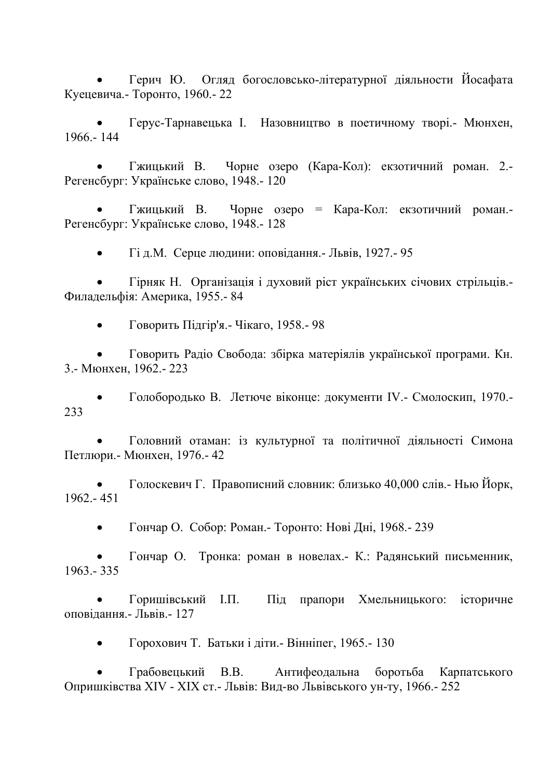• Герич Ю. Огляд богословсько-літературної діяльности Йосафата Куецевича.- Торонто, 1960.- 22

• Герус-Тарнавецька І. Назовництво в поетичному творі.- Мюнхен, 1966.- 144

• Гжицький В. Чорне озеро (Кара-Кол): екзотичний роман. 2.- Регенсбург: Українське слово, 1948.- 120

• Гжицький В. Чорне озеро = Кара-Кол: екзотичний роман.- Регенсбург: Українське слово, 1948.- 128

• Гі д.М. Серце людини: оповідання.- Львів, 1927.- 95

• Гірняк Н. Організація і духовий ріст українських січових стрільців.- Филадельфія: Америка, 1955.- 84

• Говорить Підгір'я.- Чікаго, 1958.- 98

• Говорить Радіо Свобода: збірка матеріялів української програми. Кн. 3.- Мюнхен, 1962.- 223

• Голобородько В. Летюче віконце: документи IV.- Смолоскип, 1970.- 233

• Головний отаман: із культурної та політичної діяльності Симона Петлюри.- Мюнхен, 1976.- 42

• Голоскевич Г. Правописний словник: близько 40,000 слів.- Нью Йорк, 1962.- 451

• Гончар О. Собор: Роман.- Торонто: Нові Дні, 1968.- 239

• Гончар О. Тронка: роман в новелах.- К.: Радянський письменник, 1963.- 335

• Горишівський І.П. Під прапори Хмельницького: історичне оповідання.- Львів.- 127

• Горохович Т. Батьки і діти.- Вінніпег, 1965.- 130

• Грабовецький В.В. Антифеодальна боротьба Карпатського Опришківства XIV - XIX ст.- Львів: Вид-во Львівського ун-ту, 1966.- 252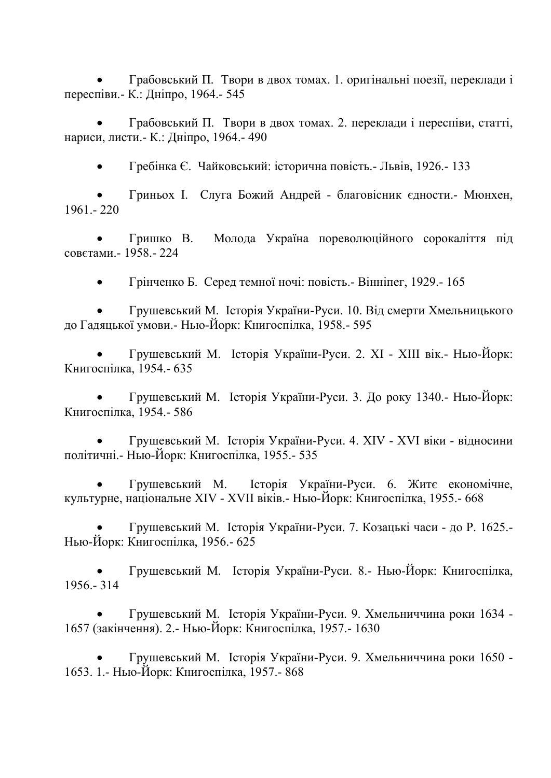• Грабовський П. Твори в двох томах. 1. оригінальні поезії, переклади і переспіви.- К.: Дніпро, 1964.- 545

• Грабовський П. Твори в двох томах. 2. переклади і переспіви, статті, нариси, листи.- К.: Дніпро, 1964.- 490

• Гребінка Є. Чайковський: історична повість.- Львів, 1926.- 133

• Гриньох І. Слуга Божий Андрей - благовісник єдности.- Мюнхен, 1961.- 220

• Гришко В. Молода Україна пореволюційного сорокаліття під совєтами.- 1958.- 224

• Грінченко Б. Серед темної ночі: повість.- Вінніпег, 1929.- 165

• Грушевський М. Історія України-Руси. 10. Від смерти Хмельницького до Гадяцької умови.- Нью-Йорк: Книгоспілка, 1958.- 595

• Грушевський М. Історія України-Руси. 2. ХІ - ХІІІ вік.- Нью-Йорк: Книгоспілка, 1954.- 635

• Грушевський М. Історія України-Руси. 3. До року 1340.- Нью-Йорк: Книгоспілка, 1954.- 586

• Грушевський М. Історія України-Руси. 4. XIV - XVI віки - відносини політичні.- Нью-Йорк: Книгоспілка, 1955.- 535

• Грушевський М. Історія України-Руси. 6. Житє економічне, культурне, національне XIV - XVII віків.- Нью-Йорк: Книгоспілка, 1955.- 668

• Грушевський М. Історія України-Руси. 7. Козацькі часи - до Р. 1625.- Нью-Йорк: Книгоспілка, 1956.- 625

• Грушевський М. Історія України-Руси. 8.- Нью-Йорк: Книгоспілка, 1956.- 314

• Грушевський М. Історія України-Руси. 9. Хмельниччина роки 1634 - 1657 (закінчення). 2.- Нью-Йорк: Книгоспілка, 1957.- 1630

• Грушевський М. Історія України-Руси. 9. Хмельниччина роки 1650 - 1653. 1.- Нью-Йорк: Книгоспілка, 1957.- 868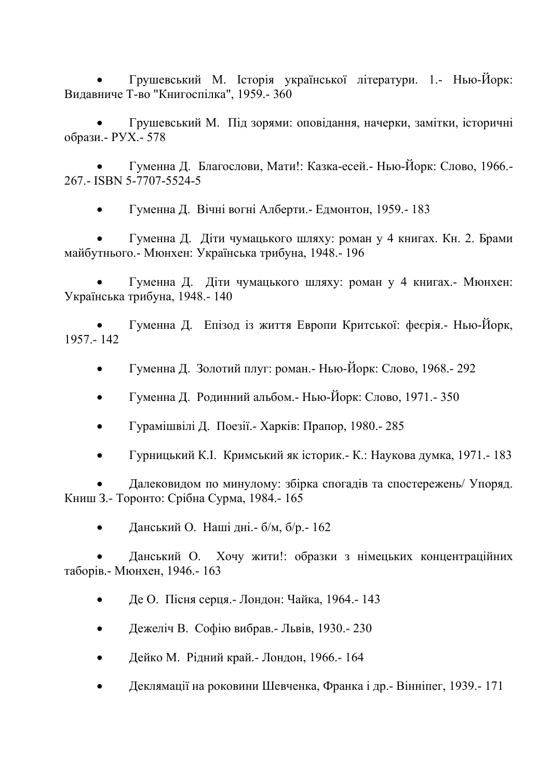• Грушевський М. Історія української літератури. 1.- Нью-Йорк: Видавниче Т-во "Книгоспілка", 1959.- 360

• Грушевський М. Під зорями: оповідання, начерки, замітки, історичні образи.- РУХ.- 578

• Гуменна Д. Благослови, Мати!: Казка-есей.- Нью-Йорк: Слово, 1966.- 267.- ISBN 5-7707-5524-5

• Гуменна Д. Вічні вогні Алберти.- Едмонтон, 1959.- 183

• Гуменна Д. Діти чумацького шляху: роман у 4 книгах. Кн. 2. Брами майбутнього.- Мюнхен: Українська трибуна, 1948.- 196

• Гуменна Д. Діти чумацького шляху: роман у 4 книгах.- Мюнхен: Українська трибуна, 1948.- 140

• Гуменна Д. Епізод із життя Европи Критської: феєрія.- Нью-Йорк, 1957.- 142

- Гуменна Д. Золотий плуг: роман.- Нью-Йорк: Слово, 1968.- 292
- Гуменна Д. Родинний альбом.- Нью-Йорк: Слово, 1971.- 350
- Гурамішвілі Д. Поезії.- Харків: Прапор, 1980.- 285
- Гурницький К.І. Кримський як історик.- К.: Наукова думка, 1971.- 183

• Далековидом по минулому: збірка спогадів та спостережень/ Упоряд. Книш З.- Торонто: Срібна Сурма, 1984.- 165

• Данський О. Наші дні. – б/м, б/р. – 162

• Данський О. Хочу жити!: образки з німецьких концентраційних таборів.- Мюнхен, 1946.- 163

- Де О. Пісня серця.- Лондон: Чайка, 1964.- 143
- Дежеліч В. Софію вибрав.- Львів, 1930.- 230
- Дейко М. Рідний край.- Лондон, 1966.- 164
- Деклямації на роковини Шевченка, Франка і др.- Вінніпег, 1939.- 171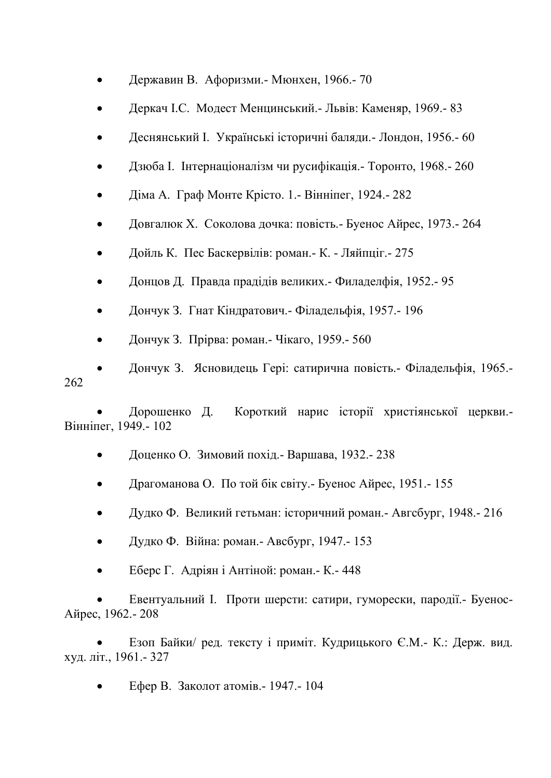- Державин В. Афоризми.- Мюнхен, 1966.- 70
- Деркач І.С. Модест Менцинський.- Львів: Каменяр, 1969.- 83
- Деснянський І. Українські історичні баляди.- Лондон, 1956.- 60
- Дзюба І. Інтернаціоналізм чи русифікація.- Торонто, 1968.- 260
- Діма А. Граф Монте Крісто. 1.- Вінніпег, 1924.- 282
- Довгалюк Х. Соколова дочка: повість.- Буенос Айрес, 1973.- 264
- Дойль К. Пес Баскервілів: роман.- К. Ляйпціг.- 275
- Донцов Д. Правда прадідів великих.- Филаделфія, 1952.- 95
- Дончук З. Гнат Кіндратович.- Філадельфія, 1957.- 196
- Дончук З. Прірва: роман.- Чікаго, 1959.- 560

• Дончук З. Ясновидець Гері: сатирична повість.- Філадельфія, 1965.- 262

• Дорошенко Д. Короткий нарис історії христіянської церкви.- Вінніпег, 1949.- 102

- Доценко О. Зимовий похід.- Варшава, 1932.- 238
- Драгоманова О. По той бік світу.- Буенос Айрес, 1951.- 155
- Дудко Ф. Великий гетьман: історичний роман.- Авгсбург, 1948.- 216
- Дудко Ф. Війна: роман.- Авсбург, 1947.- 153
- Еберс Г. Адріян і Антіной: роман.- К.- 448

• Евентуальний І. Проти шерсти: сатири, гуморески, пародії.- Буенос-Айрес, 1962.- 208

• Езоп Байки/ ред. тексту і приміт. Кудрицького Є.М.- К.: Держ. вид. худ. літ., 1961.- 327

• Ефер В. Заколот атомів.- 1947.- 104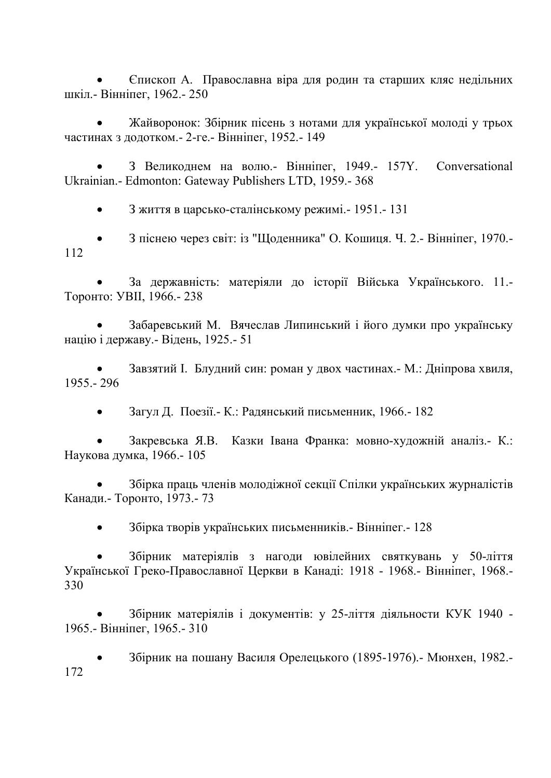• Єпископ А. Православна віра для родин та старших кляс недільних шкіл.- Вінніпег, 1962.- 250

• Жайворонок: Збірник пісень з нотами для української молоді у трьох частинах з додотком.- 2-ге.- Вінніпег, 1952.- 149

• З Великоднем на волю.- Вінніпег, 1949.- 157Y. Conversational Ukrainian.- Edmonton: Gateway Publishers LTD, 1959.- 368

• З життя в царсько-сталінському режимі.- 1951.- 131

• З піснею через світ: із "Щоденника" О. Кошиця. Ч. 2.- Вінніпег, 1970.- 112

• За державність: матеріяли до історії Війська Українського. 11.- Торонто: УВІІ, 1966.- 238

• Забаревський М. Вячеслав Липинський і його думки про українську націю і державу.- Відень, 1925.- 51

• Завзятий І. Блудний син: роман у двох частинах.- М.: Дніпрова хвиля, 1955.- 296

• Загул Д. Поезії.- К.: Радянський письменник, 1966.- 182

• Закревська Я.В. Казки Івана Франка: мовно-художній аналіз.- К.: Наукова думка, 1966.- 105

• Збірка праць членів молодіжної секції Спілки українських журналістів Канади.- Торонто, 1973.- 73

• Збірка творів українських письменників.- Вінніпег.- 128

• Збірник матеріялів з нагоди ювілейних святкувань у 50-ліття Української Греко-Православної Церкви в Канаді: 1918 - 1968.- Вінніпег, 1968.- 330

• Збірник матеріялів і документів: у 25-ліття діяльности КУК 1940 - 1965.- Вінніпег, 1965.- 310

• Збірник на пошану Василя Орелецького (1895-1976).- Мюнхен, 1982.- 172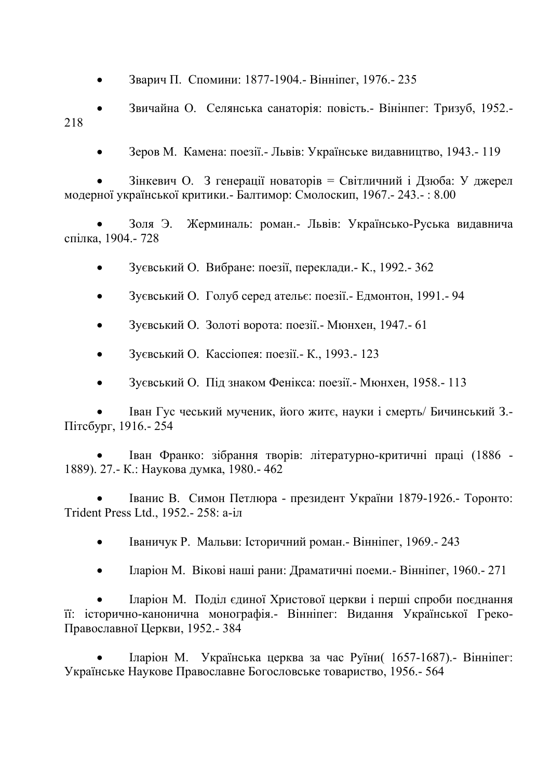• Зварич П. Спомини: 1877-1904.- Вінніпег, 1976.- 235

• Звичайна О. Селянська санаторія: повість.- Вінінпег: Тризуб, 1952.- 218

• Зеров М. Камена: поезії.- Львів: Українське видавництво, 1943.- 119

• Зінкевич О. З генерації новаторів = Світличний і Дзюба: У джерел модерної української критики.- Балтимор: Смолоскип, 1967.- 243.- : 8.00

• Золя Э. Жерминаль: роман.- Львів: Українсько-Руська видавнича спілка, 1904.- 728

- Зуєвський О. Вибране: поезії, переклади.- К., 1992.- 362
- Зуєвський О. Голуб серед ательє: поезії.- Едмонтон, 1991.- 94
- Зуєвський О. Золоті ворота: поезії.- Мюнхен, 1947.- 61
- Зуєвський О. Кассіопея: поезії.- К., 1993.- 123
- Зуєвський О. Під знаком Фенікса: поезії.- Мюнхен, 1958.- 113

• Іван Гус чеський мученик, його житє, науки і смерть/ Бичинський З.- Пітсбург, 1916.- 254

• Іван Франко: зібрання творів: літературно-критичні праці (1886 - 1889). 27.- К.: Наукова думка, 1980.- 462

• Іванис В. Симон Петлюра - президент України 1879-1926.- Торонто: Trident Press Ltd., 1952.- 258: a-іл

- Іваничук Р. Мальви: Історичний роман.- Вінніпег, 1969.- 243
- Іларіон М. Вікові наші рани: Драматичні поеми.- Вінніпег, 1960.- 271

• Іларіон М. Поділ єдиної Христової церкви і перші спроби поєднання її: історично-канонична монографія.- Вінніпег: Видання Української Греко-Православної Церкви, 1952.- 384

• Іларіон М. Українська церква за час Руїни( 1657-1687).- Вінніпег: Українське Наукове Православне Богословське товариство, 1956.- 564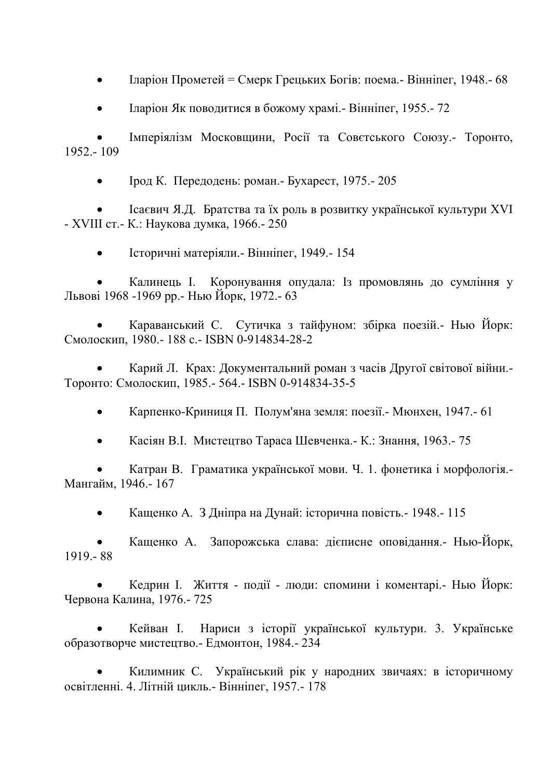• Іларіон Прометей = Смерк Грецьких Богів: поема. - Вінніпег, 1948. - 68

• Іларіон Як поводитися в божому храмі.- Вінніпег, 1955.- 72

• Імперіялізм Московщини, Росії та Совєтського Союзу.- Торонто, 1952.- 109

• Ірод К. Передодень: роман.- Бухарест, 1975.- 205

• Ісаєвич Я.Д. Братства та їх роль в розвитку української культури XVI - XVIII ст.- К.: Наукова думка, 1966.- 250

• Історичні матеріяли.- Вінніпег, 1949.- 154

• Калинець І. Коронування опудала: Із промовлянь до сумління у Львові 1968 -1969 рр.- Нью Йорк, 1972.- 63

• Караванський С. Сутичка з тайфуном: збірка поезій.- Нью Йорк: Смолоскип, 1980.- 188 с.- ISBN 0-914834-28-2

• Карий Л. Крах: Документальний роман з часів Другої світової війни.- Торонто: Смолоскип, 1985.- 564.- ISBN 0-914834-35-5

• Карпенко-Криниця П. Полум'яна земля: поезії.- Мюнхен, 1947.- 61

• Касіян В.І. Мистецтво Тараса Шевченка.- К.: Знання, 1963.- 75

• Катран В. Граматика української мови. Ч. 1. фонетика і морфологія.- Мангайм, 1946.- 167

• Кащенко А. З Дніпра на Дунай: історична повість.- 1948.- 115

• Кащенко А. Запорожська слава: дієписне оповідання.- Нью-Йорк, 1919.- 88

• Кедрин І. Життя - події - люди: спомини і коментарі.- Нью Йорк: Червона Калина, 1976.- 725

• Кейван І. Нариси з історії української культури. 3. Українське образотворче мистецтво.- Едмонтон, 1984.- 234

• Килимник С. Український рік у народних звичаях: в історичному освітленні. 4. Літній цикль.- Вінніпег, 1957.- 178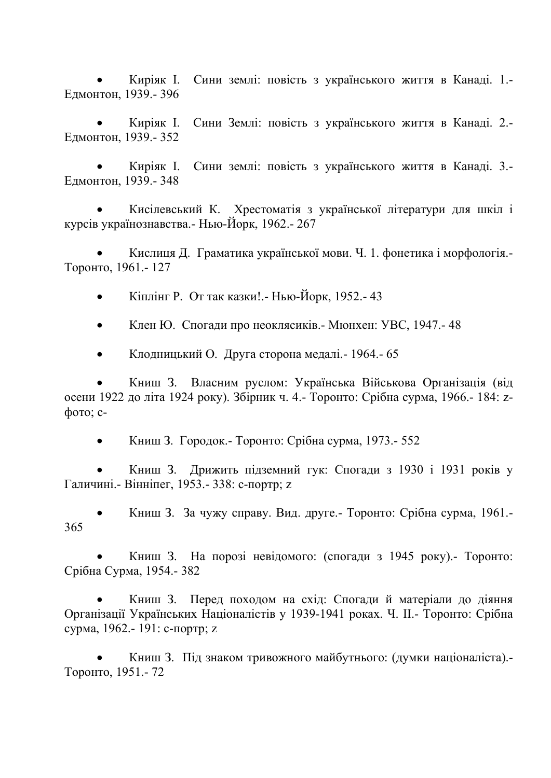• Киріяк І. Сини землі: повість з українського життя в Канаді. 1.- Едмонтон, 1939.- 396

• Киріяк І. Сини Землі: повість з українського життя в Канаді. 2.- Едмонтон, 1939.- 352

• Киріяк І. Сини землі: повість з українського життя в Канаді. 3.- Едмонтон, 1939.- 348

• Кисілевський К. Хрестоматія з української літератури для шкіл і курсів українознавства.- Нью-Йорк, 1962.- 267

• Кислиця Д. Граматика української мови. Ч. 1. фонетика і морфологія.- Торонто, 1961.- 127

• Кіплінг Р. От так казки!.- Нью-Йорк, 1952.- 43

• Клен Ю. Спогади про неоклясиків.- Мюнхен: УВС, 1947.- 48

• Клодницький О. Друга сторона медалі.- 1964.- 65

• Книш З. Власним руслом: Українська Військова Організація (від осени 1922 до літа 1924 року). Збірник ч. 4.- Торонто: Срібна сурма, 1966.- 184: zфото; c-

• Книш З. Городок.- Торонто: Срібна сурма, 1973.- 552

• Книш З. Дрижить підземний гук: Спогади з 1930 і 1931 років у Галичині.- Вінніпег, 1953.- 338: c-портр; z

• Книш З. За чужу справу. Вид. друге.- Торонто: Срібна сурма, 1961.- 365

• Книш З. На порозі невідомого: (спогади з 1945 року).- Торонто: Срібна Сурма, 1954.- 382

• Книш З. Перед походом на схід: Спогади й матеріали до діяння Організації Українських Націоналістів у 1939-1941 роках. Ч. ІІ.- Торонто: Срібна сурма, 1962.- 191: c-портр; z

• Книш З. Під знаком тривожного майбутнього: (думки націоналіста).- Торонто, 1951.- 72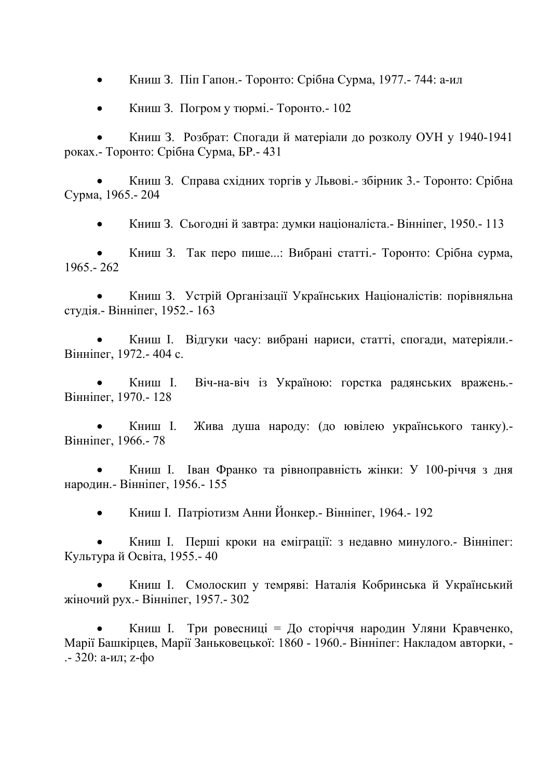• Книш З. Піп Гапон.- Торонто: Срібна Сурма, 1977.- 744: a-ил

• Книш З. Погром у тюрмі.- Торонто.- 102

• Книш З. Розбрат: Спогади й матеріали до розколу ОУН у 1940-1941 роках.- Торонто: Срібна Сурма, БР.- 431

• Книш З. Справа східних торгів у Львові.- збірник 3.- Торонто: Срібна Сурма, 1965.- 204

• Книш З. Сьогодні й завтра: думки націоналіста.- Вінніпег, 1950.- 113

• Книш З. Так перо пише...: Вибрані статті.- Торонто: Срібна сурма, 1965.- 262

• Книш З. Устрій Організації Українських Націоналістів: порівняльна студія.- Вінніпег, 1952.- 163

• Книш І. Відгуки часу: вибрані нариси, статті, спогади, матеріяли.- Вінніпег, 1972.- 404 с.

• Книш І. Віч-на-віч із Україною: горстка радянських вражень.- Вінніпег, 1970.- 128

• Книш І. Жива душа народу: (до ювілею українського танку).- Вінніпег, 1966.- 78

• Книш І. Іван Франко та рівноправність жінки: У 100-річчя з дня народин.- Вінніпег, 1956.- 155

• Книш І. Патріотизм Анни Йонкер.- Вінніпег, 1964.- 192

• Книш І. Перші кроки на еміграції: з недавно минулого.- Вінніпег: Культура й Освіта, 1955.- 40

• Книш І. Смолоскип у темряві: Наталія Кобринська й Український жіночий рух.- Вінніпег, 1957.- 302

• Книш І. Три ровесниці = До сторіччя народин Уляни Кравченко, Марії Башкірцев, Марії Заньковецької: 1860 - 1960.- Вінніпег: Накладом авторки, - .- 320: a-ил; z-фо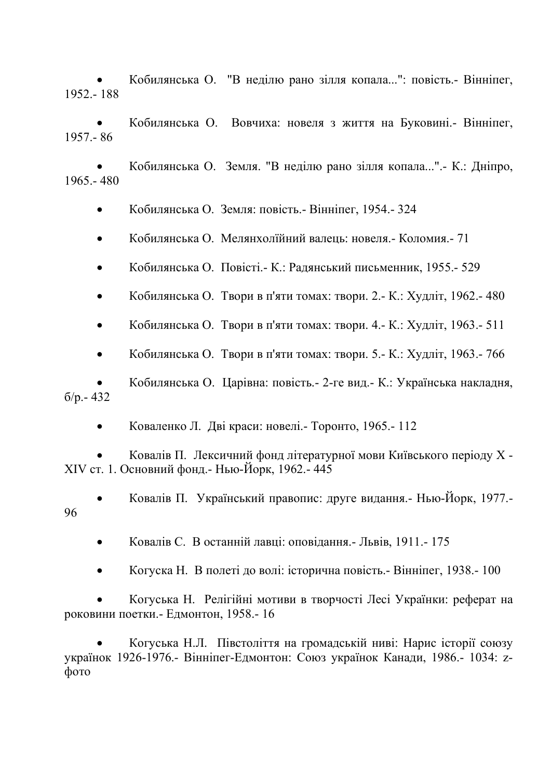• Кобилянська О. "В неділю рано зілля копала...": повість.- Вінніпег, 1952.- 188

• Кобилянська О. Вовчиха: новеля з життя на Буковині.- Вінніпег, 1957.- 86

• Кобилянська О. Земля. "В неділю рано зілля копала...".- К.: Дніпро, 1965.- 480

• Кобилянська О. Земля: повість.- Вінніпег, 1954.- 324

• Кобилянська О. Мелянхолїйний валець: новеля.- Коломия.- 71

• Кобилянська О. Повісті.- К.: Радянський письменник, 1955.- 529

• Кобилянська О. Твори в п'яти томах: твори. 2.- К.: Худліт, 1962.- 480

• Кобилянська О. Твори в п'яти томах: твори. 4.- К.: Худліт, 1963.- 511

• Кобилянська О. Твори в п'яти томах: твори. 5.- К.: Худліт, 1963.- 766

• Кобилянська О. Царівна: повість.- 2-ге вид.- К.: Українська накладня, б/р.- 432

• Коваленко Л. Дві краси: новелі.- Торонто, 1965.- 112

• Ковалів П. Лексичний фонд літературної мови Київського періоду X - XIV ст. 1. Основний фонд.- Нью-Йорк, 1962.- 445

• Ковалів П. Український правопис: друге видання.- Нью-Йорк, 1977.- 96

• Ковалів С. В останній лавці: оповідання.- Львів, 1911.- 175

• Когуска Н. В полеті до волі: історична повість.- Вінніпег, 1938.- 100

• Когуська Н. Релігійні мотиви в творчості Лесі Українки: реферат на роковини поетки.- Едмонтон, 1958.- 16

• Когуська Н.Л. Півстоліття на громадській ниві: Нарис історії союзу українок 1926-1976.- Вінніпег-Едмонтон: Союз українок Канади, 1986.- 1034: zфото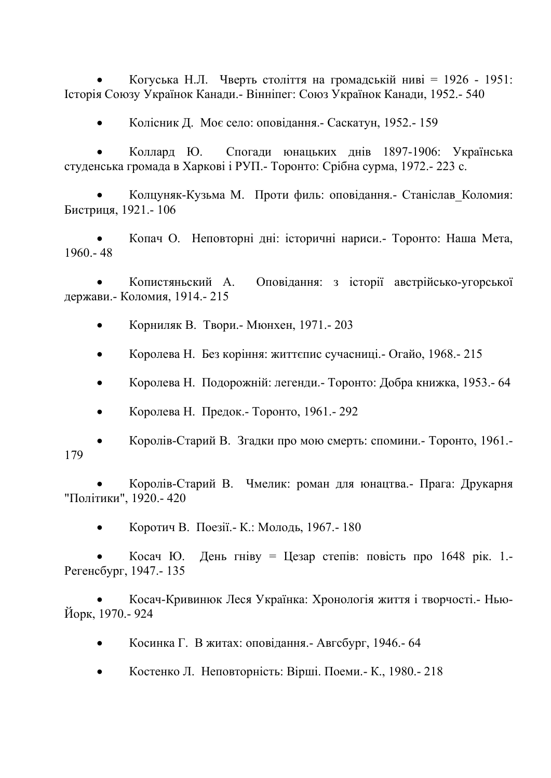• Когуська Н.Л. Чверть століття на громадській ниві = 1926 - 1951: Історія Союзу Українок Канади.- Вінніпег: Союз Українок Канади, 1952.- 540

• Колісник Д. Моє село: оповідання.- Саскатун, 1952.- 159

• Коллард Ю. Спогади юнацьких днів 1897-1906: Українська студенська громада в Харкові і РУП.- Торонто: Срібна сурма, 1972.- 223 с.

• Колцуняк-Кузьма М. Проти филь: оповідання.- Станіслав\_Коломия: Бистриця, 1921.- 106

• Копач О. Неповторні дні: історичні нариси.- Торонто: Наша Мета, 1960.- 48

• Копистяньский А. Оповідання: з історії австрійсько-угорської держави.- Коломия, 1914.- 215

• Корниляк В. Твори.- Мюнхен, 1971.- 203

• Королева Н. Без коріння: життєпис сучасниці.- Огайо, 1968.- 215

• Королева Н. Подорожній: легенди.- Торонто: Добра книжка, 1953.- 64

• Королева Н. Предок.- Торонто, 1961.- 292

• Королів-Старий В. Згадки про мою смерть: спомини.- Торонто, 1961.- 179

• Королів-Старий В. Чмелик: роман для юнацтва.- Прага: Друкарня "Політики", 1920.- 420

• Коротич В. Поезії.- К.: Молодь, 1967.- 180

• Косач Ю. День гніву = Цезар степів: повість про 1648 рік. 1.- Регенсбург, 1947.- 135

• Косач-Кривинюк Леся Українка: Хронологія життя і творчості.- Нью-Йорк, 1970.- 924

- Косинка Г. В житах: оповідання.- Авгсбург, 1946.- 64
- Костенко Л. Неповторність: Вірші. Поеми.- К., 1980.- 218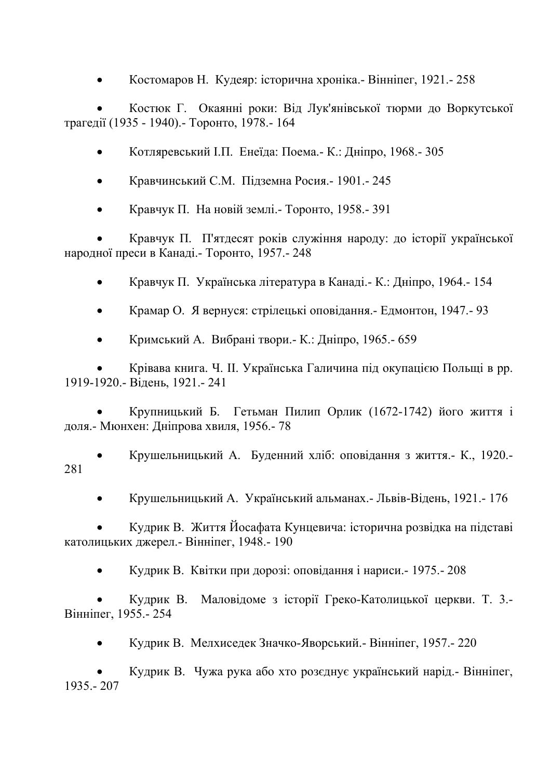• Костомаров Н. Кудеяр: історична хроніка.- Вінніпег, 1921.- 258

• Костюк Г. Окаянні роки: Від Лук'янівської тюрми до Воркутської трагедії (1935 - 1940).- Торонто, 1978.- 164

- Котляревський І.П. Енеїда: Поема.- К.: Дніпро, 1968.- 305
- Кравчинський С.М. Підземна Росия.- 1901.- 245
- Кравчук П. На новій землі.- Торонто, 1958.- 391

• Кравчук П. П'ятдесят років служіння народу: до історії української народної преси в Канаді.- Торонто, 1957.- 248

- Кравчук П. Українська література в Канаді.- К.: Дніпро, 1964.- 154
- Крамар О. Я вернуся: стрілецькі оповідання.- Едмонтон, 1947.- 93
- Кримський А. Вибрані твори.- К.: Дніпро, 1965.- 659

• Крівава книга. Ч. ІІ. Українська Галичина під окупацією Польщі в рр. 1919-1920.- Відень, 1921.- 241

• Крупницький Б. Гетьман Пилип Орлик (1672-1742) його життя і доля.- Мюнхен: Дніпрова хвиля, 1956.- 78

- Крушельницький А. Буденний хліб: оповідання з життя.- К., 1920.- 281
	- Крушельницький А. Український альманах.- Львів-Відень, 1921.- 176

• Кудрик В. Життя Йосафата Кунцевича: історична розвідка на підставі католицьких джерел.- Вінніпег, 1948.- 190

• Кудрик В. Квітки при дорозі: оповідання і нариси.- 1975.- 208

• Кудрик В. Маловідоме з історії Греко-Католицької церкви. Т. 3.- Вінніпег, 1955.- 254

• Кудрик В. Мелхиседек Значко-Яворський.- Вінніпег, 1957.- 220

• Кудрик В. Чужа рука або хто розєднує український нарід.- Вінніпег, 1935.- 207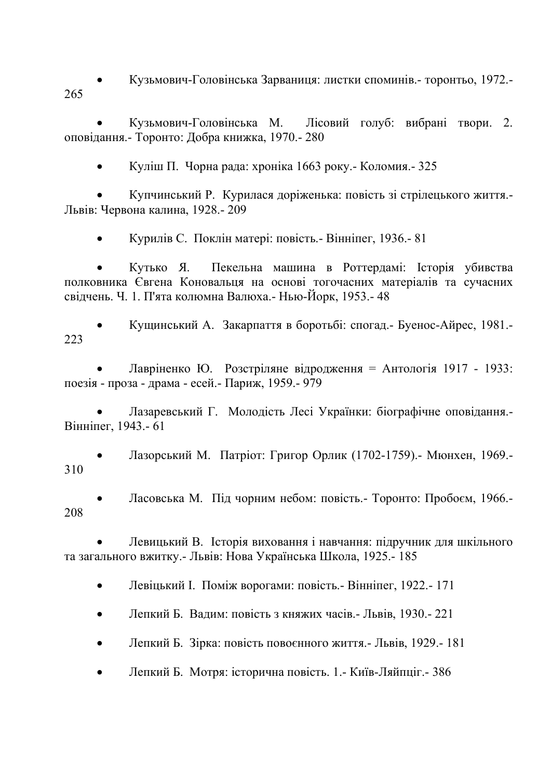• Кузьмович-Головінська Зарваниця: листки споминів.- торонтьо, 1972.- 265

• Кузьмович-Головінська М. Лісовий голуб: вибрані твори. 2. оповідання.- Торонто: Добра книжка, 1970.- 280

• Куліш П. Чорна рада: хроніка 1663 року.- Коломия.- 325

• Купчинський Р. Курилася доріженька: повість зі стрілецького життя.- Львів: Червона калина, 1928.- 209

• Курилів С. Поклін матері: повість.- Вінніпег, 1936.- 81

• Кутько Я. Пекельна машина в Роттердамі: Історія убивства полковника Євгена Коновальця на основі тогочасних матеріалів та сучасних свідчень. Ч. 1. П'ята колюмна Валюха.- Нью-Йорк, 1953.- 48

• Кущинський А. Закарпаття в боротьбі: спогад.- Буенос-Айрес, 1981.- 223

• Лавріненко Ю. Розстріляне відродження = Антологія 1917 - 1933: поезія - проза - драма - есей.- Париж, 1959.- 979

• Лазаревський Г. Молодість Лесі Українки: біографічне оповідання.- Вінніпег, 1943.- 61

• Лазорський М. Патріот: Григор Орлик (1702-1759).- Мюнхен, 1969.- 310

• Ласовська М. Під чорним небом: повість.- Торонто: Пробоєм, 1966.- 208

• Левицький В. Історія виховання і навчання: підручник для шкільного та загального вжитку.- Львів: Нова Українська Школа, 1925.- 185

- Левіцький І. Поміж ворогами: повість.- Вінніпег, 1922.- 171
- Лепкий Б. Вадим: повість з княжих часів.- Львів, 1930.- 221
- Лепкий Б. Зірка: повість повоєнного життя.- Львів, 1929.- 181
- Лепкий Б. Мотря: історична повість. 1.- Київ-Ляйпціг.- 386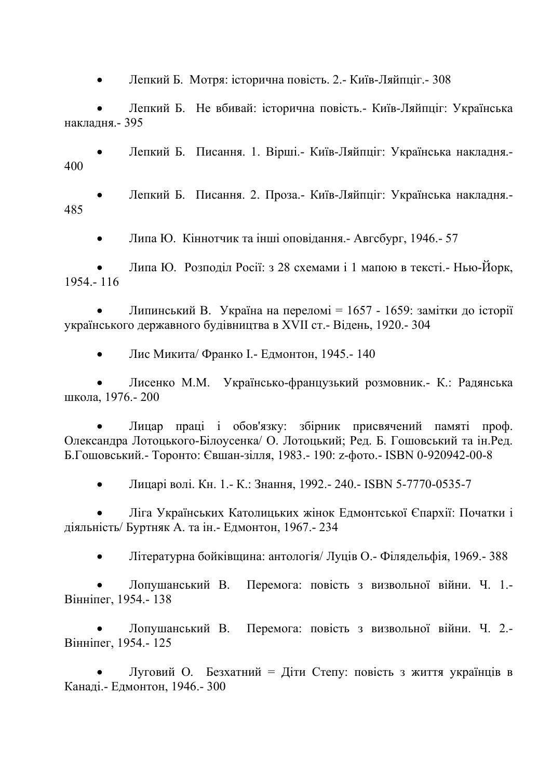• Лепкий Б. Мотря: історична повість. 2.- Київ-Ляйпціг.- 308

• Лепкий Б. Не вбивай: історична повість.- Київ-Ляйпціг: Українська накладня.- 395

• Лепкий Б. Писання. 1. Вірші.- Київ-Ляйпціг: Українська накладня.- 400

• Лепкий Б. Писання. 2. Проза.- Київ-Ляйпціг: Українська накладня.- 485

• Липа Ю. Кіннотчик та інші оповідання.- Авгсбург, 1946.- 57

• Липа Ю. Розподіл Росії: з 28 схемами і 1 мапою в тексті.- Нью-Йорк, 1954.- 116

• Липинський В. Україна на переломі = 1657 - 1659: замітки до історії українського державного будівництва в XVII ст.- Відень, 1920.- 304

• Лис Микита/ Франко І.- Едмонтон, 1945.- 140

• Лисенко М.М. Українсько-французький розмовник.- К.: Радянська школа, 1976.- 200

• Лицар праці і обов'язку: збірник присвячений памяті проф. Олександра Лотоцького-Білоусенка/ О. Лотоцький; Ред. Б. Гошовський та ін.Ред. Б.Гошовський.- Торонто: Євшан-зілля, 1983.- 190: z-фото.- ISBN 0-920942-00-8

• Лицарі волі. Кн. 1.- К.: Знання, 1992.- 240.- ISBN 5-7770-0535-7

• Ліга Українських Католицьких жінок Едмонтської Єпархії: Початки і діяльність/ Буртняк А. та ін.- Едмонтон, 1967.- 234

• Літературна бойківщина: антологія/ Луців О.- Філядельфія, 1969.- 388

• Лопушанський В. Перемога: повість з визвольної війни. Ч. 1.- Вінніпег, 1954.- 138

• Лопушанський В. Перемога: повість з визвольної війни. Ч. 2.- Вінніпег, 1954.- 125

• Луговий О. Безхатний = Діти Степу: повість з життя українців в Канаді.- Едмонтон, 1946.- 300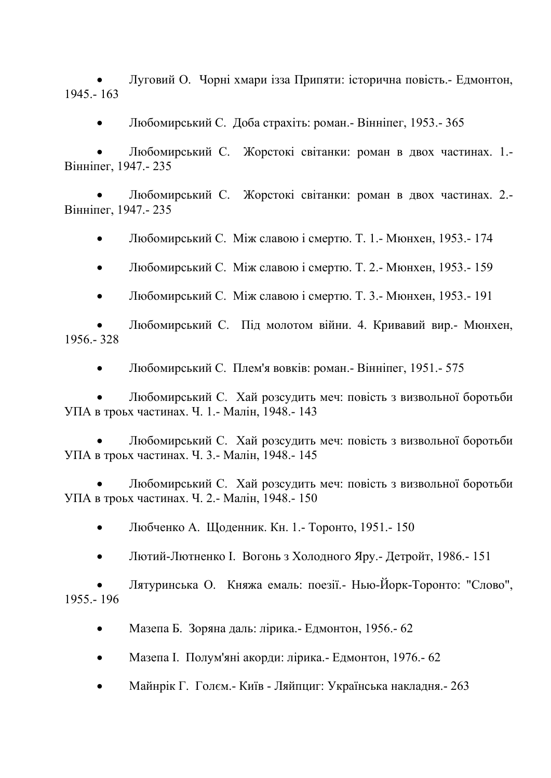• Луговий О. Чорні хмари ізза Припяти: історична повість.- Едмонтон, 1945.- 163

• Любомирський С. Доба страхіть: роман.- Вінніпег, 1953.- 365

• Любомирський С. Жорстокі світанки: роман в двох частинах. 1.- Вінніпег, 1947.- 235

• Любомирський С. Жорстокі світанки: роман в двох частинах. 2.- Вінніпег, 1947.- 235

• Любомирський С. Між славою і смертю. Т. 1.- Мюнхен, 1953.- 174

• Любомирський С. Між славою і смертю. Т. 2.- Мюнхен, 1953.- 159

• Любомирський С. Між славою і смертю. Т. 3.- Мюнхен, 1953.- 191

• Любомирський С. Під молотом війни. 4. Кривавий вир.- Мюнхен, 1956.- 328

• Любомирський С. Плем'я вовків: роман.- Вінніпег, 1951.- 575

• Любомирський С. Хай розсудить меч: повість з визвольної боротьби УПА в троьх частинах. Ч. 1.- Малін, 1948.- 143

• Любомирський С. Хай розсудить меч: повість з визвольної боротьби УПА в троьх частинах. Ч. 3.- Малін, 1948.- 145

• Любомирський С. Хай розсудить меч: повість з визвольної боротьби УПА в троьх частинах. Ч. 2.- Малін, 1948.- 150

• Любченко А. Щоденник. Кн. 1.- Торонто, 1951.- 150

• Лютий-Лютненко І. Вогонь з Холодного Яру.- Детройт, 1986.- 151

• Лятуринська О. Княжа емаль: поезії.- Нью-Йорк-Торонто: "Слово", 1955.- 196

• Мазепа Б. Зоряна даль: лірика.- Едмонтон, 1956.- 62

- Мазепа І. Полум'яні акорди: лірика.- Едмонтон, 1976.- 62
- Майнрік Г. Голєм.- Київ Ляйпциг: Українська накладня.- 263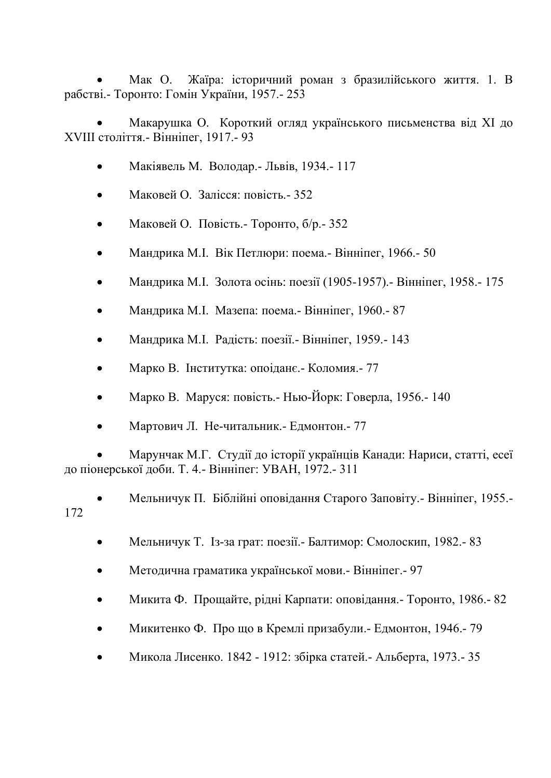• Мак О. Жаїра: історичний роман з бразилійського життя. 1. В рабстві.- Торонто: Гомін України, 1957.- 253

• Макарушка О. Короткий огляд українського письменства від ХІ до ХVІІІ століття.- Вінніпег, 1917.- 93

- Макіявель М. Володар.- Львів, 1934.- 117
- Маковей О. Залісся: повість.- 352
- Маковей О. Повість.- Торонто, б/р.- 352
- Мандрика М.І. Вік Петлюри: поема.- Вінніпег, 1966.- 50
- Мандрика М.І. Золота осінь: поезії (1905-1957).- Вінніпег, 1958.- 175
- Мандрика М.І. Мазепа: поема.- Вінніпег, 1960.- 87
- Мандрика М.І. Радість: поезії.- Вінніпег, 1959.- 143
- Марко В. Інститутка: опоіданє.- Коломия.- 77
- Марко В. Маруся: повість.- Нью-Йорк: Говерла, 1956.- 140
- Мартович Л. Не-читальник.- Едмонтон.- 77

• Марунчак М.Г. Студії до історії українців Канади: Нариси, статті, есеї до піонерської доби. Т. 4.- Вінніпег: УВАН, 1972.- 311

• Мельничук П. Біблійні оповідання Старого Заповіту.- Вінніпег, 1955.- 172

- Мельничук Т. Із-за грат: поезії.- Балтимор: Смолоскип, 1982.- 83
- Методична граматика української мови.- Вінніпег.- 97
- Микита Ф. Прощайте, рідні Карпати: оповідання.- Торонто, 1986.- 82
- Микитенко Ф. Про що в Кремлі призабули.- Едмонтон, 1946.- 79
- Микола Лисенко. 1842 1912: збірка статей.- Альберта, 1973.- 35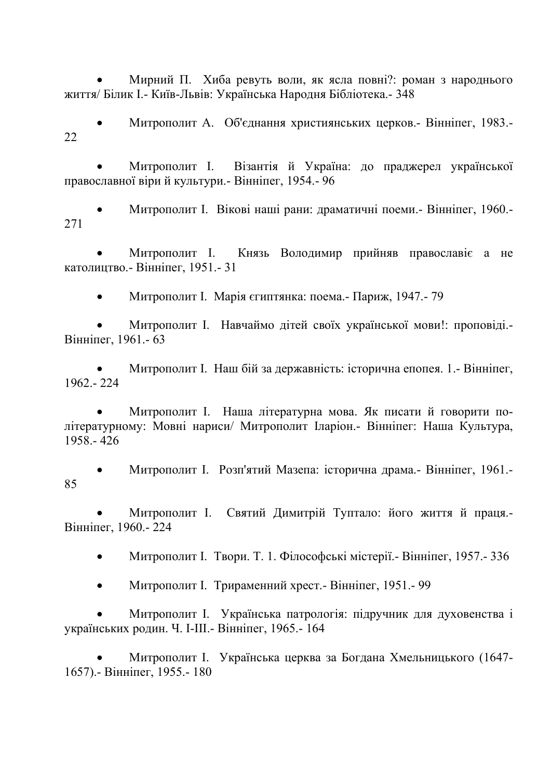• Мирний П. Хиба ревуть воли, як ясла повні?: роман з народнього життя/ Білик І.- Київ-Львів: Українська Народня Бібліотека.- 348

• Митрополит А. Об'єднання християнських церков.- Вінніпег, 1983.- 22

• Митрополит І. Візантія й Україна: до праджерел української православної віри й культури.- Вінніпег, 1954.- 96

• Митрополит І. Вікові наші рани: драматичні поеми.- Вінніпег, 1960.- 271

• Митрополит І. Князь Володимир прийняв православіє а не католицтво.- Вінніпег, 1951.- 31

• Митрополит І. Марія єгиптянка: поема.- Париж, 1947.- 79

• Митрополит І. Навчаймо дітей своїх української мови!: проповіді.- Вінніпег, 1961.- 63

• Митрополит І. Наш бій за державність: історична епопея. 1.- Вінніпег, 1962.- 224

• Митрополит І. Наша літературна мова. Як писати й говорити політературному: Мовні нариси/ Митрополит Іларіон.- Вінніпег: Наша Культура, 1958.- 426

• Митрополит І. Розп'ятий Мазепа: історична драма.- Вінніпег, 1961.- 85

• Митрополит І. Святий Димитрій Туптало: його життя й праця.- Вінніпег, 1960.- 224

• Митрополит І. Твори. Т. 1. Філософські містерії.- Вінніпег, 1957.- 336

• Митрополит І. Трираменний хрест.- Вінніпег, 1951.- 99

• Митрополит І. Українська патрологія: підручник для духовенства і українських родин. Ч. І-ІІІ.- Вінніпег, 1965.- 164

• Митрополит І. Українська церква за Богдана Хмельницького (1647- 1657).- Вінніпег, 1955.- 180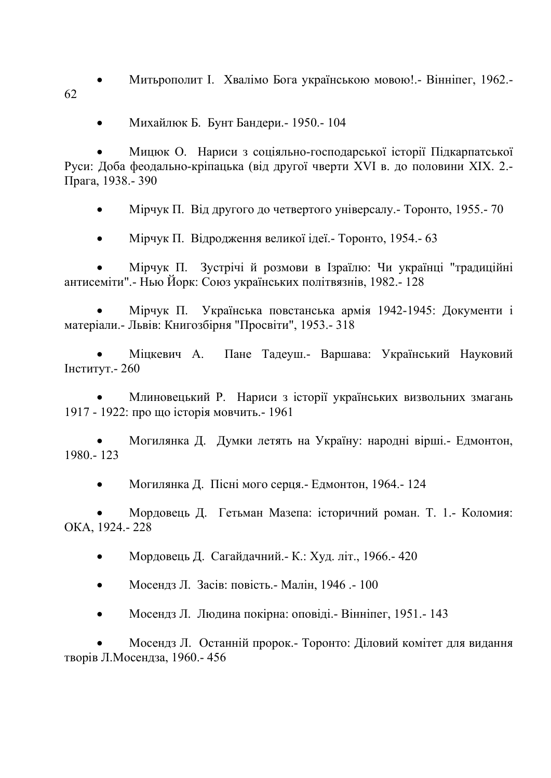• Митьрополит І. Хвалімо Бога українською мовою!.- Вінніпег, 1962.- 62

• Михайлюк Б. Бунт Бандери.- 1950.- 104

• Мицюк О. Нариси з соціяльно-господарської історії Підкарпатської Руси: Доба феодально-кріпацька (від другої чверти XVI в. до половини ХІХ. 2.- Прага, 1938.- 390

• Мірчук П. Від другого до четвертого універсалу. – Торонто, 1955. – 70

• Мірчук П. Відродження великої ідеї.- Торонто, 1954.- 63

• Мірчук П. Зустрічі й розмови в Ізраїлю: Чи українці "традиційні антисеміти".- Нью Йорк: Союз українських політвязнів, 1982.- 128

• Мірчук П. Українська повстанська армія 1942-1945: Документи і матеріали.- Львів: Книгозбірня "Просвіти", 1953.- 318

• Міцкевич А. Пане Тадеуш.- Варшава: Український Науковий Інститут.- 260

• Млиновецький Р. Нариси з історії українських визвольних змагань 1917 - 1922: про що історія мовчить.- 1961

• Могилянка Д. Думки летять на Україну: народні вірші.- Едмонтон, 1980.- 123

• Могилянка Д. Пісні мого серця.- Едмонтон, 1964.- 124

• Мордовець Д. Гетьман Мазепа: історичний роман. Т. 1.- Коломия: ОКА, 1924.- 228

• Мордовець Д. Сагайдачний.- К.: Худ. літ., 1966.- 420

• Мосендз Л. Засів: повість.- Малін, 1946 .- 100

• Мосендз Л. Людина покірна: оповіді.- Вінніпег, 1951.- 143

• Мосендз Л. Останній пророк.- Торонто: Діловий комітет для видання творів Л.Мосендза, 1960.- 456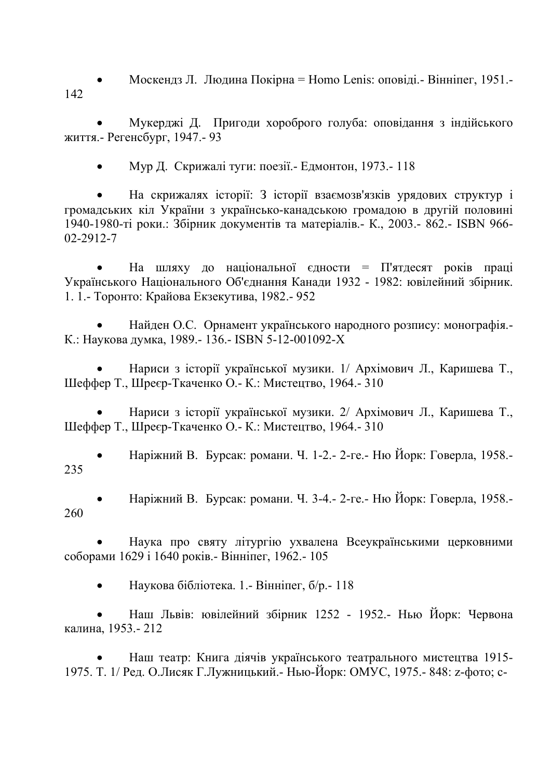• Москендз Л. Людина Покірна = Homo Lenis: оповіді.- Вінніпег, 1951.- 142

• Мукерджі Д. Пригоди хороброго голуба: оповідання з індійського життя.- Регенсбург, 1947.- 93

• Мур Д. Скрижалі туги: поезії.- Едмонтон, 1973.- 118

• На скрижалях історії: З історії взаємозв'язків урядових структур і громадських кіл України з українсько-канадською громадою в другій половині 1940-1980-ті роки.: Збірник документів та матеріалів.- К., 2003.- 862.- ISBN 966- 02-2912-7

На шляху до національної єдности = П'ятдесят років праці Українського Національного Об'єднання Канади 1932 - 1982: ювілейний збірник. 1. 1.- Торонто: Крайова Екзекутива, 1982.- 952

• Найден О.С. Орнамент українського народного розпису: монографія.- К.: Наукова думка, 1989.- 136.- ISBN 5-12-001092-Х

• Нариси з історії української музики. 1/ Архімович Л., Каришева Т., Шеффер Т., Шреєр-Ткаченко О.- К.: Мистецтво, 1964.- 310

• Нариси з історії української музики. 2/ Архімович Л., Каришева Т., Шеффер Т., Шреєр-Ткаченко О.- К.: Мистецтво, 1964.- 310

• Наріжний В. Бурсак: романи. Ч. 1-2.- 2-ге.- Ню Йорк: Говерла, 1958.- 235

• Наріжний В. Бурсак: романи. Ч. 3-4.- 2-ге.- Ню Йорк: Говерла, 1958.- 260

• Наука про святу літургію ухвалена Всеукраїнськими церковними соборами 1629 і 1640 років.- Вінніпег, 1962.- 105

• Наукова бібліотека. 1.- Вінніпег, б/р.- 118

• Наш Львів: ювілейний збірник 1252 - 1952.- Нью Йорк: Червона калина, 1953.- 212

• Наш театр: Книга діячів українського театрального мистецтва 1915- 1975. Т. 1/ Ред. О.Лисяк Г.Лужницький.- Нью-Йорк: ОМУС, 1975.- 848: z-фото; c-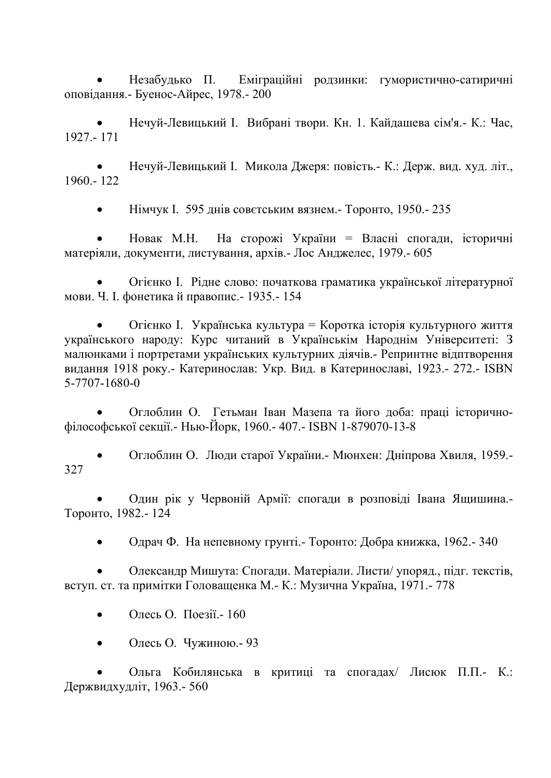• Незабудько П. Еміграційні родзинки: гумористично-сатиричні оповідання.- Буенос-Айрес, 1978.- 200

• Нечуй-Левицький І. Вибрані твори. Кн. 1. Кайдашева сім'я.- К.: Час, 1927.- 171

• Нечуй-Левицький І. Микола Джеря: повість.- К.: Держ. вид. худ. літ., 1960.- 122

• Німчук І. 595 днів совєтським вязнем.- Торонто, 1950.- 235

• Новак М.Н. На сторожі України = Власні спогади, історичні матеріяли, документи, листування, архів.- Лос Анджелес, 1979.- 605

• Огієнко І. Рідне слово: початкова граматика української літературної мови. Ч. І. фонетика й правопис.- 1935.- 154

• Огієнко І. Українська культура = Коротка історія культурного життя українського народу: Курс читаний в Українськім Народнім Університеті: З малюнками і портретами українських культурних діячів.- Репринтне відптворення видання 1918 року.- Катеринослав: Укр. Вид. в Катеринославі, 1923.- 272.- ISBN 5-7707-1680-0

• Оглоблин О. Гетьман Іван Мазепа та його доба: праці історичнофілософської секції.- Нью-Йорк, 1960.- 407.- ISBN 1-879070-13-8

• Оглоблин О. Люди старої України.- Мюнхен: Дніпрова Хвиля, 1959.- 327

• Один рік у Червоній Армії: спогади в розповіді Івана Ящишина.- Торонто, 1982.- 124

• Одрач Ф. На непевному грунті.- Торонто: Добра книжка, 1962.- 340

• Олександр Мишута: Спогади. Матеріали. Листи/ упоряд., підг. текстів, вступ. ст. та примітки Головащенка М.- К.: Музична Україна, 1971.- 778

- Олесь О. Поезії.- 160
- Олесь О. Чужиною.- 93

• Ольга Кобилянська в критиці та спогадах/ Лисюк П.П.- К.: Держвидхудліт, 1963.- 560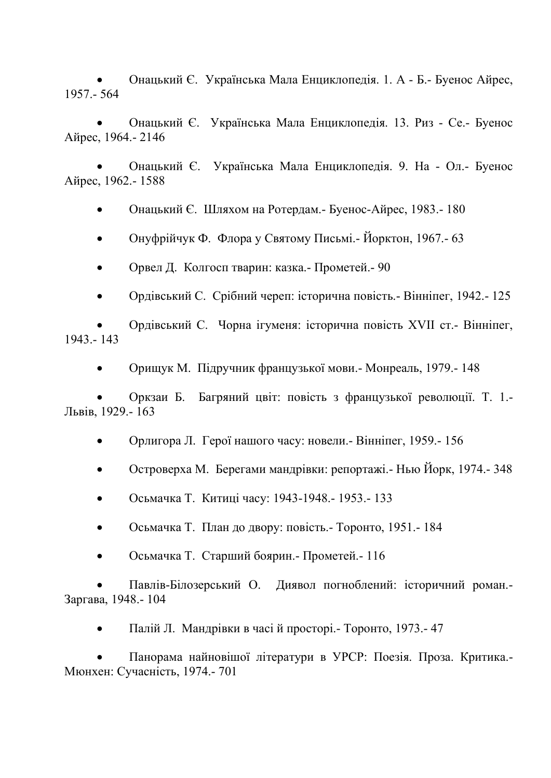• Онацький Є. Українська Мала Енциклопедія. 1. А - Б.- Буенос Айрес, 1957.- 564

• Онацький Є. Українська Мала Енциклопедія. 13. Риз - Се.- Буенос Айрес, 1964.- 2146

• Онацький Є. Українська Мала Енциклопедія. 9. На - Ол.- Буенос Айрес, 1962.- 1588

• Онацький Є. Шляхом на Ротердам.- Буенос-Айрес, 1983.- 180

• Онуфрійчук Ф. Флора у Святому Письмі.- Йорктон, 1967.- 63

• Орвел Д. Колгосп тварин: казка.- Прометей.- 90

• Ордівський С. Срібний череп: історична повість.- Вінніпег, 1942.- 125

• Ордівський С. Чорна ігуменя: історична повість ХVІІ ст.- Вінніпег, 1943.- 143

• Орищук М. Підручник французької мови.- Монреаль, 1979.- 148

• Оркзаи Б. Багряний цвіт: повість з французької революції. Т. 1.- Львів, 1929.- 163

• Орлигора Л. Герої нашого часу: новели.- Вінніпег, 1959.- 156

• Островерха М. Берегами мандрівки: репортажі.- Нью Йорк, 1974.- 348

• Осьмачка Т. Китиці часу: 1943-1948.- 1953.- 133

• Осьмачка Т. План до двору: повість.- Торонто, 1951.- 184

• Осьмачка Т. Старший боярин.- Прометей.- 116

• Павлів-Білозерський О. Диявол погноблений: історичний роман.- Заргава, 1948.- 104

• Палій Л. Мандрівки в часі й просторі.- Торонто, 1973.- 47

• Панорама найновішої літератури в УРСР: Поезія. Проза. Критика.- Мюнхен: Сучасність, 1974.- 701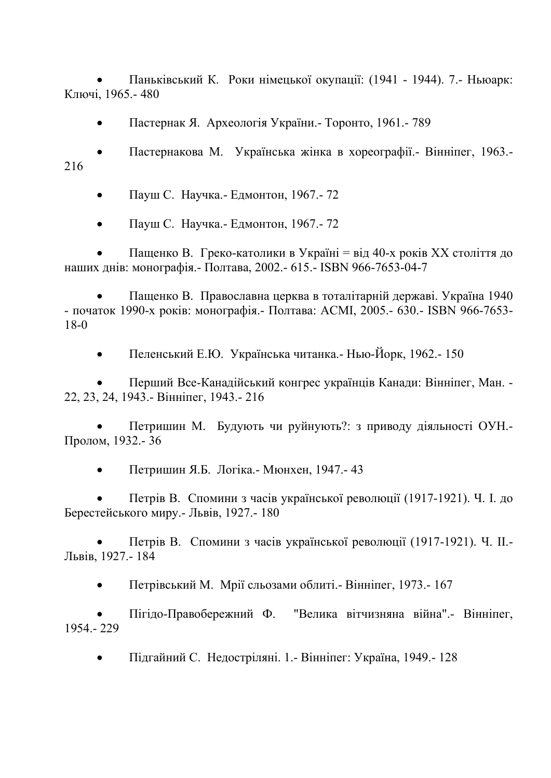• Паньківський К. Роки німецької окупації: (1941 - 1944). 7.- Ньюарк: Ключі, 1965.- 480

• Пастернак Я. Археологія України.- Торонто, 1961.- 789

• Пастернакова М. Українська жінка в хореографії.- Вінніпег, 1963.- 216

• Пауш С. Научка.- Едмонтон, 1967.- 72

• Пауш С. Научка.- Едмонтон, 1967.- 72

• Пащенко В. Греко-католики в Україні = від 40-х років ХХ століття до наших днів: монографія.- Полтава, 2002.- 615.- ISBN 966-7653-04-7

• Пащенко В. Православна церква в тоталітарній державі. Україна 1940 - початок 1990-х років: монографія.- Полтава: АСМІ, 2005.- 630.- ISBN 966-7653- 18-0

• Пеленський Е.Ю. Українська читанка.- Нью-Йорк, 1962.- 150

• Перший Все-Канадійський конгрес українців Канади: Вінніпег, Ман. - 22, 23, 24, 1943.- Вінніпег, 1943.- 216

• Петришин М. Будують чи руйнують?: з приводу діяльності ОУН.- Пролом, 1932.- 36

• Петришин Я.Б. Логіка.- Мюнхен, 1947.- 43

• Петрів В. Спомини з часів української революції (1917-1921). Ч. І. до Берестейського миру.- Львів, 1927.- 180

• Петрів В. Спомини з часів української революції (1917-1921). Ч. ІІ.- Львів, 1927.- 184

• Петрівський М. Мрії сльозами облиті.- Вінніпег, 1973.- 167

• Пігідо-Правобережний Ф. "Велика вітчизняна війна".- Вінніпег, 1954.- 229

• Підгайний С. Недостріляні. 1.- Вінніпег: Україна, 1949.- 128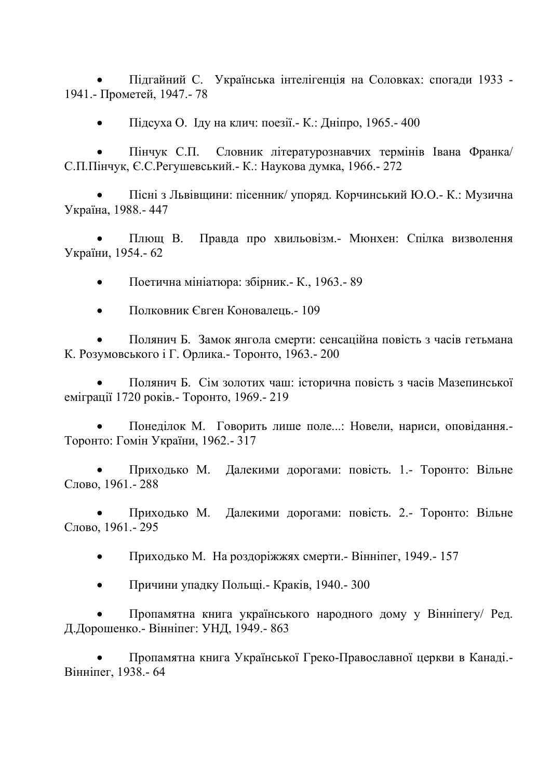• Підгайний С. Українська інтелігенція на Соловках: спогади 1933 - 1941.- Прометей, 1947.- 78

• Підсуха О. Іду на клич: поезії.- К.: Дніпро, 1965.- 400

• Пінчук С.П. Словник літературознавчих термінів Івана Франка/ С.П.Пінчук, Є.С.Регушевський.- К.: Наукова думка, 1966.- 272

• Пісні з Львівщини: пісенник/ упоряд. Корчинський Ю.О.- К.: Музична Україна, 1988.- 447

• Плющ В. Правда про хвильовізм.- Мюнхен: Спілка визволення України, 1954.- 62

• Поетична мініатюра: збірник.- К., 1963.- 89

• Полковник Євген Коновалець.- 109

• Полянич Б. Замок янгола смерти: сенсаційна повість з часів гетьмана К. Розумовського і Г. Орлика.- Торонто, 1963.- 200

• Полянич Б. Сім золотих чаш: історична повість з часів Мазепинської еміграції 1720 років.- Торонто, 1969.- 219

• Понеділок М. Говорить лише поле...: Новели, нариси, оповідання.- Торонто: Гомін України, 1962.- 317

• Приходько М. Далекими дорогами: повість. 1.- Торонто: Вільне Слово, 1961.- 288

• Приходько М. Далекими дорогами: повість. 2.- Торонто: Вільне Слово, 1961.- 295

• Приходько М. На роздоріжжях смерти.- Вінніпег, 1949.- 157

• Причини упадку Польщі.- Краків, 1940.- 300

• Пропамятна книга українського народного дому у Вінніпегу/ Ред. Д.Дорошенко.- Вінніпег: УНД, 1949.- 863

• Пропамятна книга Української Греко-Православної церкви в Канаді.- Вінніпег, 1938.- 64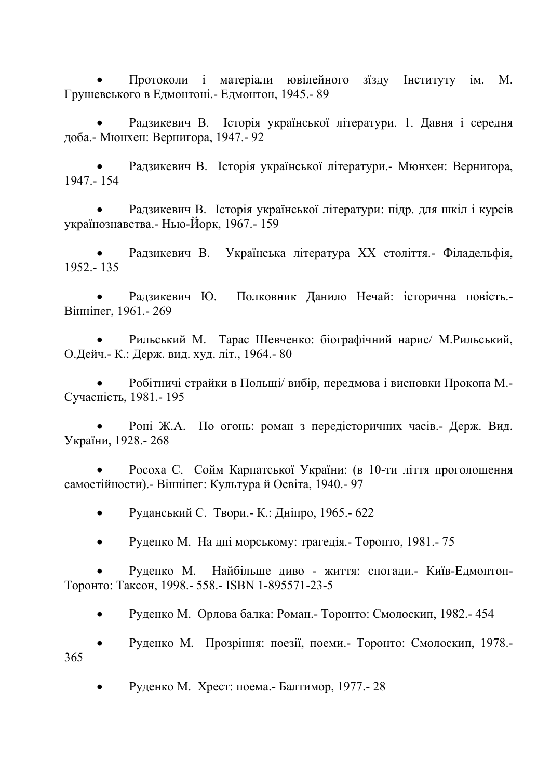• Протоколи і матеріали ювілейного зїзду Інституту ім. М. Грушевського в Едмонтоні.- Едмонтон, 1945.- 89

• Радзикевич В. Історія української літератури. 1. Давня і середня доба.- Мюнхен: Вернигора, 1947.- 92

• Радзикевич В. Історія української літератури.- Мюнхен: Вернигора, 1947.- 154

• Радзикевич В. Історія української літератури: підр. для шкіл і курсів українознавства.- Нью-Йорк, 1967.- 159

• Радзикевич В. Українська література ХХ століття.- Філадельфія, 1952.- 135

• Радзикевич Ю. Полковник Данило Нечай: історична повість.- Вінніпег, 1961.- 269

• Рильський М. Тарас Шевченко: біографічний нарис/ М.Рильський, О.Дейч.- К.: Держ. вид. худ. літ., 1964.- 80

• Робітничі страйки в Польщі/ вибір, передмова і висновки Прокопа М.- Сучасність, 1981.- 195

• Роні Ж.А. По огонь: роман з передісторичних часів.- Держ. Вид. України, 1928.- 268

• Росоха С. Сойм Карпатської України: (в 10-ти ліття проголошення самостійности).- Вінніпег: Культура й Освіта, 1940.- 97

• Руданський С. Твори.- К.: Дніпро, 1965.- 622

• Руденко М. На дні морському: трагедія.- Торонто, 1981.- 75

• Руденко М. Найбільше диво - життя: спогади.- Київ-Едмонтон-Торонто: Таксон, 1998.- 558.- ISBN 1-895571-23-5

• Руденко М. Орлова балка: Роман.- Торонто: Смолоскип, 1982.- 454

• Руденко М. Прозріння: поезії, поеми.- Торонто: Смолоскип, 1978.- 365

• Руденко М. Хрест: поема.- Балтимор, 1977.- 28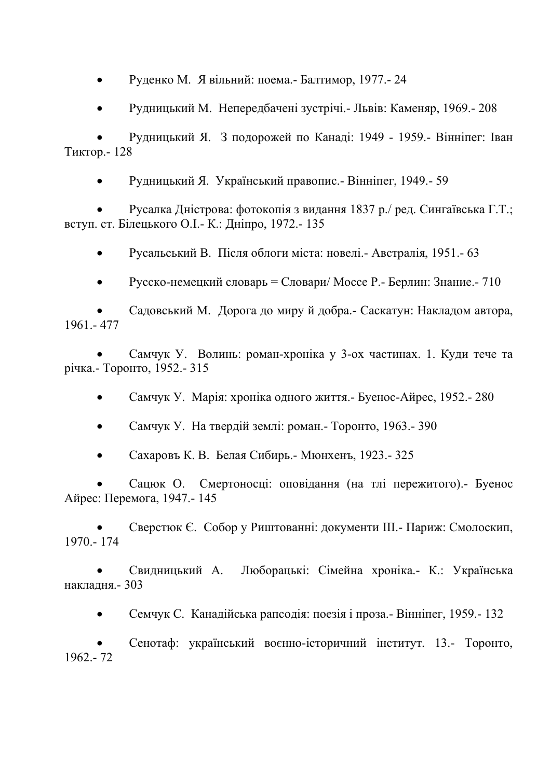• Руденко М. Я вільний: поема.- Балтимор, 1977.- 24

• Рудницький М. Непередбачені зустрічі.- Львів: Каменяр, 1969.- 208

• Рудницький Я. З подорожей по Канаді: 1949 - 1959.- Вінніпег: Іван Тиктор.- 128

• Рудницький Я. Український правопис.- Вінніпег, 1949.- 59

• Русалка Дністрова: фотокопія з видання 1837 р./ ред. Сингаївська Г.Т.; вступ. ст. Білецького О.І.- К.: Дніпро, 1972.- 135

• Русальський В. Після облоги міста: новелі.- Австралія, 1951.- 63

• Русско-немецкий словарь = Словари/ Моссе Р.- Берлин: Знание.- 710

• Садовський М. Дорога до миру й добра.- Саскатун: Накладом автора, 1961.- 477

• Самчук У. Волинь: роман-хроніка у 3-ох частинах. 1. Куди тече та річка.- Торонто, 1952.- 315

• Самчук У. Марія: хроніка одного життя.- Буенос-Айрес, 1952.- 280

• Самчук У. На твердій землі: роман.- Торонто, 1963.- 390

• Сахаровъ К. В. Белая Сибирь.- Мюнхенъ, 1923.- 325

• Сацюк О. Смертоносці: оповідання (на тлі пережитого).- Буенос Айрес: Перемога, 1947.- 145

• Сверстюк Є. Собор у Риштованні: документи ІІІ.- Париж: Смолоскип, 1970.- 174

• Свидницький А. Люборацькі: Сімейна хроніка.- К.: Українська накладня.- 303

• Семчук С. Канадійська рапсодія: поезія і проза.- Вінніпег, 1959.- 132

• Сенотаф: український воєнно-історичний інститут. 13.- Торонто, 1962.- 72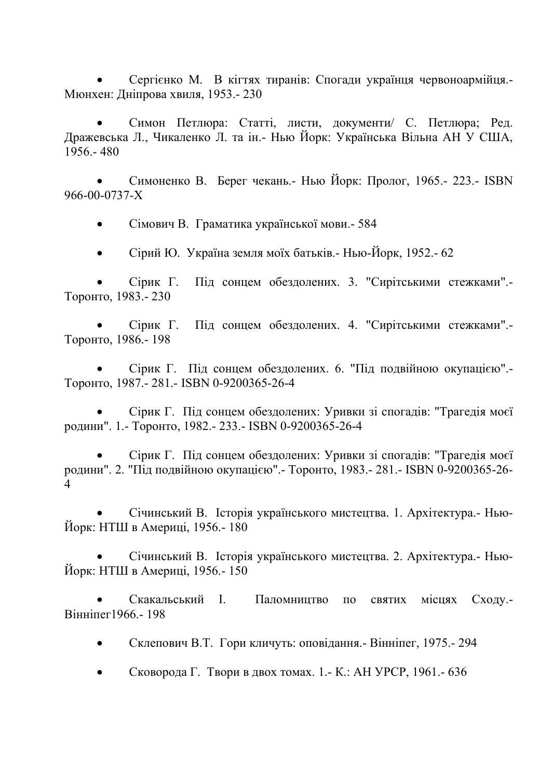• Сергієнко М. В кігтях тиранів: Спогади українця червоноармійця.- Мюнхен: Дніпрова хвиля, 1953.- 230

• Симон Петлюра: Статті, листи, документи/ С. Петлюра; Ред. Дражевська Л., Чикаленко Л. та ін.- Нью Йорк: Українська Вільна АН У США, 1956.- 480

• Симоненко В. Берег чекань.- Нью Йорк: Пролог, 1965.- 223.- ISBN 966-00-0737-Х

• Сімович В. Граматика української мови.- 584

• Сірий Ю. Україна земля моїх батьків.- Нью-Йорк, 1952.- 62

• Сірик Г. Під сонцем обездолених. 3. "Сирітськими стежками".- Торонто, 1983.- 230

• Сірик Г. Під сонцем обездолених. 4. "Сирітськими стежками".- Торонто, 1986.- 198

• Сірик Г. Під сонцем обездолених. 6. "Під подвійною окупацією".- Торонто, 1987.- 281.- ISBN 0-9200365-26-4

• Сірик Г. Під сонцем обездолених: Уривки зі спогадів: "Трагедія моєї родини". 1.- Торонто, 1982.- 233.- ISBN 0-9200365-26-4

• Сірик Г. Під сонцем обездолених: Уривки зі спогадів: "Трагедія моєї родини". 2. "Під подвійною окупацією".- Торонто, 1983.- 281.- ISBN 0-9200365-26- 4

• Січинський В. Історія українського мистецтва. 1. Архітектура.- Нью-Йорк: НТШ в Америці, 1956.- 180

• Січинський В. Історія українського мистецтва. 2. Архітектура.- Нью-Йорк: НТШ в Америці, 1956.- 150

• Скакальський І. Паломництво по святих місцях Сходу.- Вінніпег1966.- 198

• Склепович В.Т. Гори кличуть: оповідання.- Вінніпег, 1975.- 294

• Сковорода Г. Твори в двох томах. 1.- К.: АН УРСР, 1961.- 636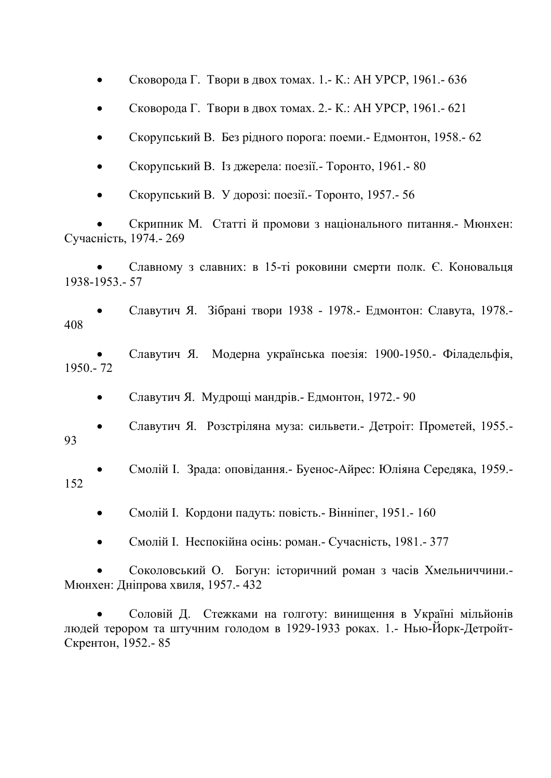• Сковорода Г. Твори в двох томах. 1.- К.: АН УРСР, 1961.- 636

• Сковорода Г. Твори в двох томах. 2.- К.: АН УРСР, 1961.- 621

• Скорупський В. Без рідного порога: поеми.- Едмонтон, 1958.- 62

• Скорупський В. Із джерела: поезії.- Торонто, 1961.- 80

• Скорупський В. У дорозі: поезії.- Торонто, 1957.- 56

• Скрипник М. Статті й промови з національного питання.- Мюнхен: Сучасність, 1974.- 269

• Славному з славних: в 15-ті роковини смерти полк. Є. Коновальця 1938-1953.- 57

• Славутич Я. Зібрані твори 1938 - 1978.- Едмонтон: Славута, 1978.- 408

• Славутич Я. Модерна українська поезія: 1900-1950.- Філадельфія, 1950.- 72

• Славутич Я. Мудрощі мандрів.- Едмонтон, 1972.- 90

• Славутич Я. Розстріляна муза: сильвети.- Детроіт: Прометей, 1955.- 93

• Смолій І. Зрада: оповідання.- Буенос-Айрес: Юліяна Середяка, 1959.- 152

• Смолій І. Кордони падуть: повість.- Вінніпег, 1951.- 160

• Смолій І. Неспокійна осінь: роман.- Сучасність, 1981.- 377

• Соколовський О. Богун: історичний роман з часів Хмельниччини.- Мюнхен: Дніпрова хвиля, 1957.- 432

• Соловій Д. Стежками на голготу: винищення в Україні мільйонів людей терором та штучним голодом в 1929-1933 роках. 1.- Нью-Йорк-Детройт-Скрентон, 1952.- 85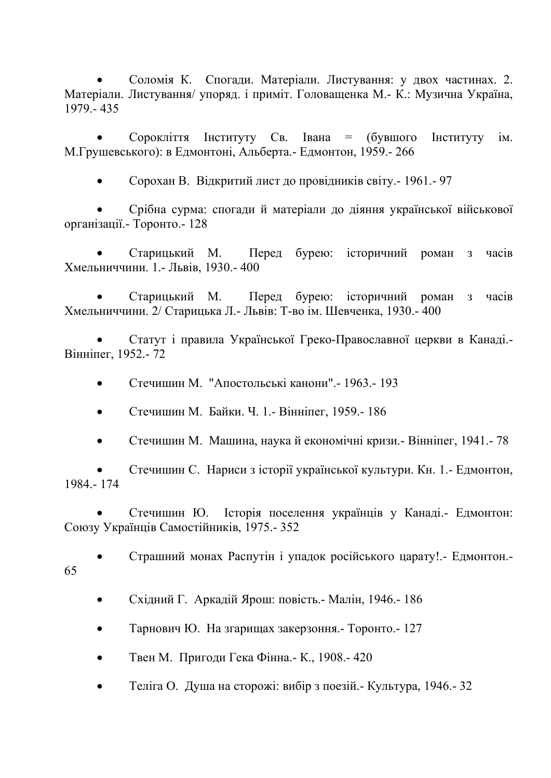• Соломія К. Спогади. Матеріали. Листування: у двох частинах. 2. Матеріали. Листування/ упоряд. і приміт. Головащенка М.- К.: Музична Україна, 1979.- 435

• Сорокліття Інституту Св. Івана = (бувшого Інституту ім. М.Грушевського): в Едмонтоні, Альберта.- Едмонтон, 1959.- 266

• Сорохан В. Відкритий лист до провідників світу.- 1961.- 97

• Срібна сурма: спогади й матеріали до діяння української військової організації.- Торонто.- 128

• Старицький М. Перед бурею: історичний роман з часів Хмельниччини. 1.- Львів, 1930.- 400

• Старицький М. Перед бурею: історичний роман з часів Хмельниччини. 2/ Старицька Л.- Львів: Т-во ім. Шевченка, 1930.- 400

• Статут і правила Української Греко-Православної церкви в Канаді.- Вінніпег, 1952.- 72

• Стечишин М. "Апостольські канони".- 1963.- 193

- Стечишин М. Байки. Ч. 1.- Вінніпег, 1959.- 186
- Стечишин М. Машина, наука й економічні кризи.- Вінніпег, 1941.- 78

• Стечишин С. Нариси з історії української культури. Кн. 1.- Едмонтон, 1984.- 174

• Стечишин Ю. Історія поселення українців у Канаді.- Едмонтон: Союзу Українців Самостійників, 1975.- 352

• Страшний монах Распутін і упадок російського царату!.- Едмонтон.-

- 65
- Східний Г. Аркадій Ярош: повість.- Малін, 1946.- 186
- Тарнович Ю. На згарищах закерзоння.- Торонто.- 127
- Твен М. Пригоди Гека Фінна.- К., 1908.- 420
- Теліга О. Душа на сторожі: вибір з поезій.- Культура, 1946.- 32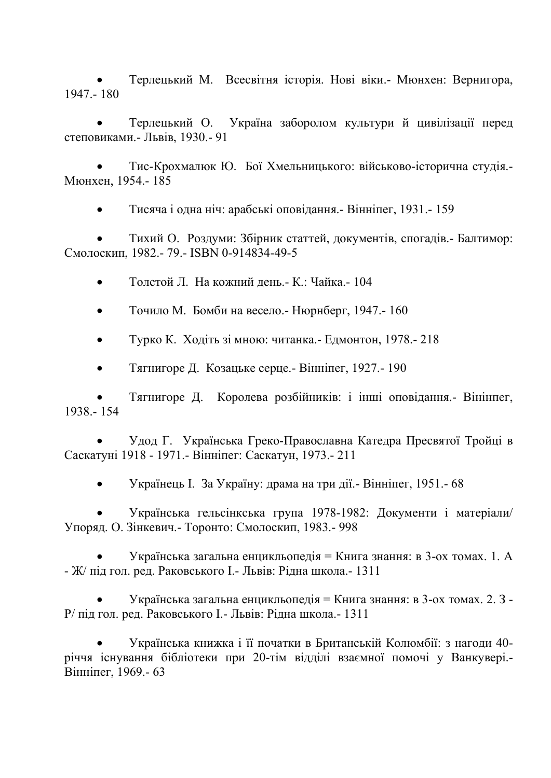• Терлецький М. Всесвітня історія. Нові віки.- Мюнхен: Вернигора, 1947.- 180

• Терлецький О. Україна заборолом культури й цивілізації перед степовиками.- Львів, 1930.- 91

• Тис-Крохмалюк Ю. Бої Хмельницького: військово-історична студія.- Мюнхен, 1954.- 185

• Тисяча і одна ніч: арабські оповідання.- Вінніпег, 1931.- 159

• Тихий О. Роздуми: Збірник статтей, документів, спогадів.- Балтимор: Смолоскип, 1982.- 79.- ISBN 0-914834-49-5

- Толстой Л. На кожний день.- К.: Чайка.- 104
- Точило М. Бомби на весело.- Нюрнберг, 1947.- 160
- Турко К. Ходіть зі мною: читанка.- Едмонтон, 1978.- 218
- Тягнигоре Д. Козацьке серце.- Вінніпег, 1927.- 190

• Тягнигоре Д. Королева розбійників: і інші оповідання.- Вінінпег, 1938.- 154

• Удод Г. Українська Греко-Православна Катедра Пресвятої Тройці в Саскатуні 1918 - 1971.- Вінніпег: Саскатун, 1973.- 211

• Українець І. За Україну: драма на три дії.- Вінніпег, 1951.- 68

• Українська гельсінкська група 1978-1982: Документи і матеріали/ Упоряд. О. Зінкевич.- Торонто: Смолоскип, 1983.- 998

• Українська загальна енцикльопедія = Книга знання: в 3-ох томах. 1. А - Ж/ під гол. ред. Раковського І.- Львів: Рідна школа.- 1311

• Українська загальна енцикльопедія = Книга знання: в 3-ох томах. 2. З - Р/ під гол. ред. Раковського І.- Львів: Рідна школа.- 1311

• Українська книжка і її початки в Британській Колюмбії: з нагоди 40 річчя існування бібліотеки при 20-тім відділі взаємної помочі у Ванкувері.- Вінніпег, 1969.- 63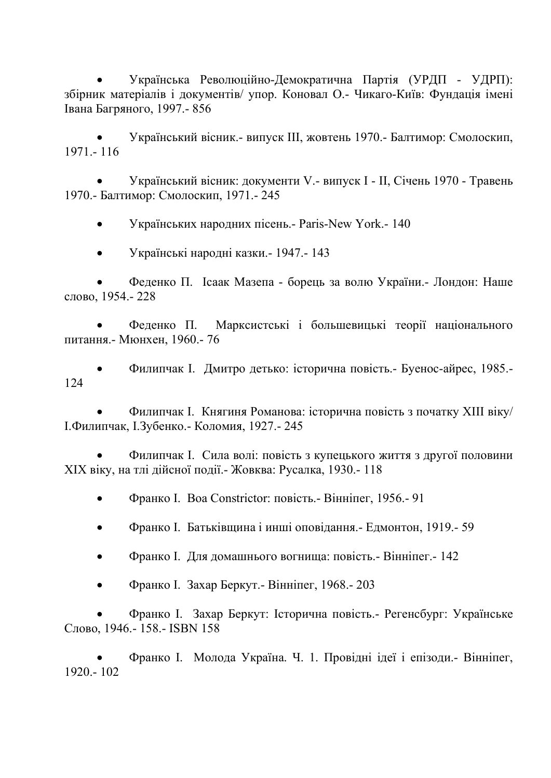• Українська Революційно-Демократична Партія (УРДП - УДРП): збірник матеріалів і документів/ упор. Коновал О.- Чикаго-Київ: Фундація імені Івана Багряного, 1997.- 856

• Український вісник.- випуск ІІІ, жовтень 1970.- Балтимор: Смолоскип, 1971.- 116

• Український вісник: документи V.- випуск І - ІІ, Січень 1970 - Травень 1970.- Балтимор: Смолоскип, 1971.- 245

• Українських народних пісень.- Paris-New York.- 140

• Українські народні казки.- 1947.- 143

• Феденко П. Ісаак Мазепа - борець за волю України.- Лондон: Наше слово, 1954.- 228

• Феденко П. Марксистські і большевицькі теорії національного питання.- Мюнхен, 1960.- 76

• Филипчак І. Дмитро детько: історична повість.- Буенос-айрес, 1985.- 124

• Филипчак І. Княгиня Романова: історична повість з початку ХІІІ віку/ І.Филипчак, І.Зубенко.- Коломия, 1927.- 245

• Филипчак І. Сила волі: повість з купецького життя з другої половини ХІХ віку, на тлі дійсної події.- Жовква: Русалка, 1930.- 118

• Франко І. Boa Constrictor: повість.- Вінніпег, 1956.- 91

- Франко І. Батьківщина і инші оповідання.- Едмонтон, 1919.- 59
- Франко І. Для домашнього вогнища: повість.- Вінніпег.- 142
- Франко І. Захар Беркут.- Вінніпег, 1968.- 203

• Франко І. Захар Беркут: Історична повість.- Регенсбург: Українське Слово, 1946.- 158.- ISBN 158

• Франко І. Молода Україна. Ч. 1. Провідні ідеї і епізоди.- Вінніпег, 1920.- 102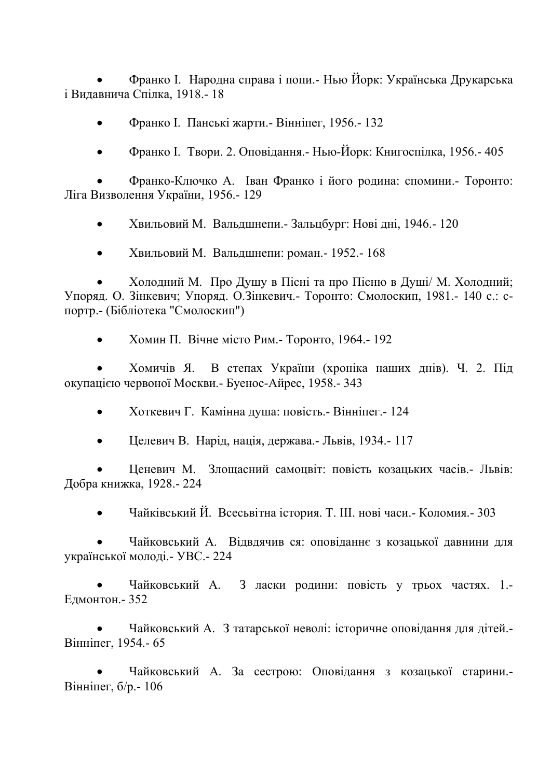• Франко І. Народна справа і попи.- Нью Йорк: Українська Друкарська і Видавнича Спілка, 1918.- 18

- Франко І. Панські жарти.- Вінніпег, 1956.- 132
- Франко І. Твори. 2. Оповідання.- Нью-Йорк: Книгоспілка, 1956.- 405

• Франко-Ключко А. Іван Франко і його родина: спомини.- Торонто: Ліга Визволення України, 1956.- 129

• Хвильовий М. Вальдшнепи.- Зальцбург: Нові дні, 1946.- 120

• Хвильовий М. Вальдшнепи: роман.- 1952.- 168

• Холодний М. Про Душу в Пісні та про Пісню в Душі/ М. Холодний; Упоряд. О. Зінкевич; Упоряд. О.Зінкевич.- Торонто: Смолоскип, 1981.- 140 с.: cпортр.- (Бібліотека "Смолоскип")

• Хомин П. Вічне місто Рим.- Торонто, 1964.- 192

• Хомичів Я. В степах України (хроніка наших днів). Ч. 2. Під окупацією червоної Москви.- Буенос-Айрес, 1958.- 343

- Хоткевич Г. Камінна душа: повість.- Вінніпег.- 124
- Целевич В. Нарід, нація, держава.- Львів, 1934.- 117

• Ценевич М. Злощасний самоцвіт: повість козацьких часів.- Львів: Добра книжка, 1928.- 224

• Чайківський Й. Всесьвітна істория. Т. ІІІ. нові часи.- Коломия.- 303

• Чайковський А. Відвдячив ся: оповіданнє з козацької давнини для української молоді.- УВС.- 224

• Чайковський А. З ласки родини: повість у трьох частях. 1.- Едмонтон.- 352

• Чайковський А. З татарської неволі: історичне оповідання для дітей.- Вінніпег, 1954.- 65

• Чайковський А. За сестрою: Оповідання з козацької старини.- Вінніпег, б/р.- 106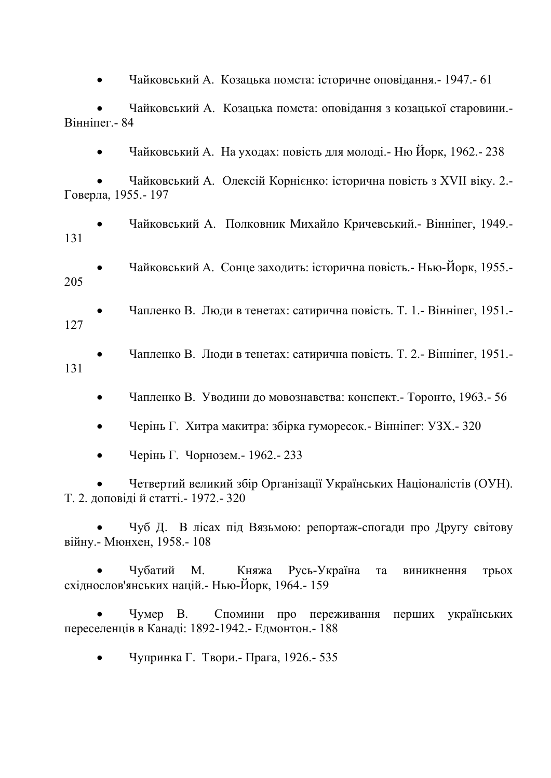• Чайковський А. Козацька помста: історичне оповідання.- 1947.- 61

• Чайковський А. Козацька помста: оповідання з козацької старовини.- Вінніпег.- 84

• Чайковський А. На уходах: повість для молоді.- Ню Йорк, 1962.- 238

• Чайковський А. Олексій Корнієнко: історична повість з XVII віку. 2.- Говерла, 1955.- 197

• Чайковський А. Полковник Михайло Кричевський.- Вінніпег, 1949.- 131

• Чайковський А. Сонце заходить: історична повість.- Нью-Йорк, 1955.- 205

- Чапленко В. Люди в тенетах: сатирична повість. Т. 1.- Вінніпег, 1951.- 127
- Чапленко В. Люди в тенетах: сатирична повість. Т. 2.- Вінніпег, 1951.- 131
	- Чапленко В. Уводини до мовознавства: конспект.- Торонто, 1963.- 56
	- Черінь Г. Хитра макитра: збірка гуморесок.- Вінніпег: УЗХ.- 320
	- Черінь Г. Чорнозем.- 1962.- 233

• Четвертий великий збір Організації Українських Націоналістів (ОУН). Т. 2. доповіді й статті.- 1972.- 320

• Чуб Д. В лісах під Вязьмою: репортаж-спогади про Другу світову війну.- Мюнхен, 1958.- 108

• Чубатий М. Княжа Русь-Україна та виникнення трьох східнослов'янських націй.- Нью-Йорк, 1964.- 159

• Чумер В. Спомини про переживання перших українських переселенців в Канаді: 1892-1942.- Едмонтон.- 188

• Чупринка Г. Твори.- Прага, 1926.- 535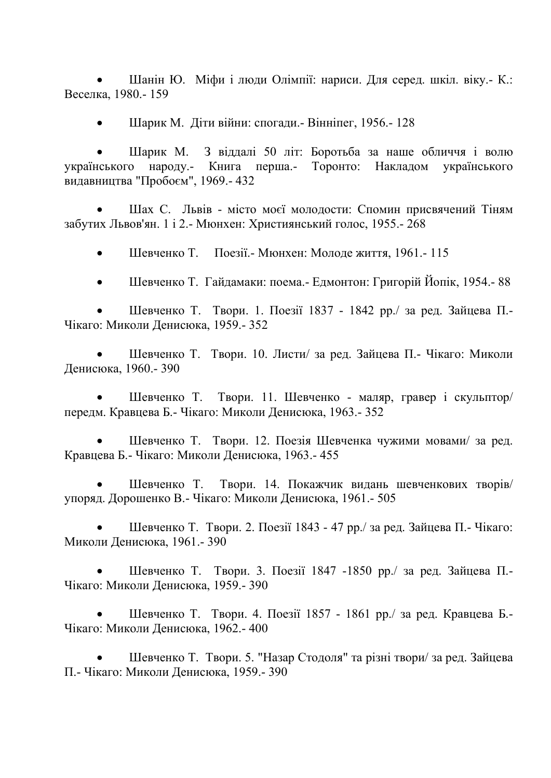• Шанін Ю. Міфи і люди Олімпії: нариси. Для серед. шкіл. віку.- К.: Веселка, 1980.- 159

• Шарик М. Діти війни: спогади.- Вінніпег, 1956.- 128

• Шарик М. З віддалі 50 літ: Боротьба за наше обличчя і волю українського народу.- Книга перша.- Торонто: Накладом українського видавництва "Пробоєм", 1969.- 432

• Шах С. Львів - місто моєї молодости: Спомин присвячений Тіням забутих Львов'ян. 1 і 2.- Мюнхен: Християнський голос, 1955.- 268

• Шевченко Т. Поезії.- Мюнхен: Молоде життя, 1961.- 115

• Шевченко Т. Гайдамаки: поема.- Едмонтон: Григорій Йопік, 1954.- 88

• Шевченко Т. Твори. 1. Поезії 1837 - 1842 рр./ за ред. Зайцева П.- Чікаго: Миколи Денисюка, 1959.- 352

• Шевченко Т. Твори. 10. Листи/ за ред. Зайцева П.- Чікаго: Миколи Денисюка, 1960.- 390

• Шевченко Т. Твори. 11. Шевченко - маляр, гравер і скульптор/ передм. Кравцева Б.- Чікаго: Миколи Денисюка, 1963.- 352

• Шевченко Т. Твори. 12. Поезія Шевченка чужими мовами/ за ред. Кравцева Б.- Чікаго: Миколи Денисюка, 1963.- 455

• Шевченко Т. Твори. 14. Покажчик видань шевченкових творів/ упоряд. Дорошенко В.- Чікаго: Миколи Денисюка, 1961.- 505

• Шевченко Т. Твори. 2. Поезії 1843 - 47 рр./ за ред. Зайцева П.- Чікаго: Миколи Денисюка, 1961.- 390

• Шевченко Т. Твори. 3. Поезії 1847 -1850 рр./ за ред. Зайцева П.- Чікаго: Миколи Денисюка, 1959.- 390

• Шевченко Т. Твори. 4. Поезії 1857 - 1861 рр./ за ред. Кравцева Б.- Чікаго: Миколи Денисюка, 1962.- 400

• Шевченко Т. Твори. 5. "Назар Стодоля" та різні твори/ за ред. Зайцева П.- Чікаго: Миколи Денисюка, 1959.- 390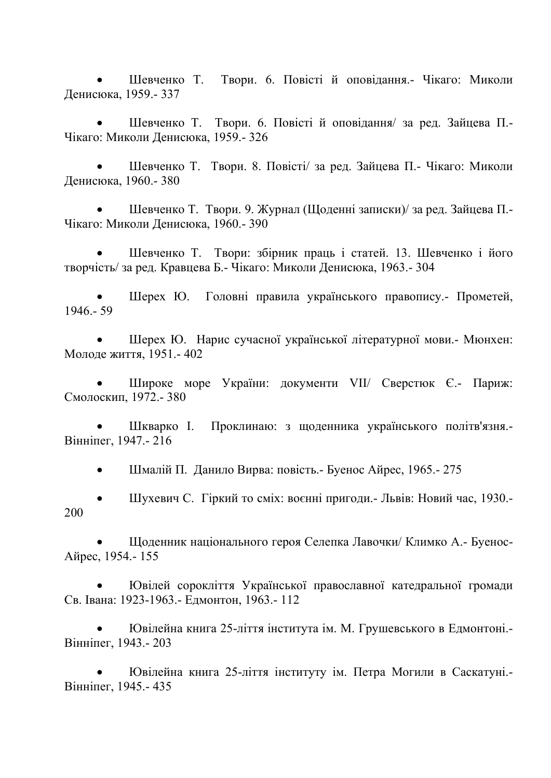• Шевченко Т. Твори. 6. Повісті й оповідання.- Чікаго: Миколи Денисюка, 1959.- 337

• Шевченко Т. Твори. 6. Повісті й оповідання/ за ред. Зайцева П.- Чікаго: Миколи Денисюка, 1959.- 326

• Шевченко Т. Твори. 8. Повісті/ за ред. Зайцева П.- Чікаго: Миколи Денисюка, 1960.- 380

• Шевченко Т. Твори. 9. Журнал (Щоденні записки)/ за ред. Зайцева П.- Чікаго: Миколи Денисюка, 1960.- 390

• Шевченко Т. Твори: збірник праць і статей. 13. Шевченко і його творчість/ за ред. Кравцева Б.- Чікаго: Миколи Денисюка, 1963.- 304

• Шерех Ю. Головні правила українського правопису.- Прометей, 1946.- 59

• Шерех Ю. Нарис сучасної української літературної мови.- Мюнхен: Молоде життя, 1951.- 402

• Широке море України: документи VII/ Сверстюк Є.- Париж: Смолоскип, 1972.- 380

• Шкварко І. Проклинаю: з щоденника українського політв'язня.- Вінніпег, 1947.- 216

• Шмалій П. Данило Вирва: повість.- Буенос Айрес, 1965.- 275

• Шухевич С. Гіркий то сміх: воєнні пригоди.- Львів: Новий час, 1930.- 200

• Щоденник національного героя Селепка Лавочки/ Климко А.- Буенос-Айрес, 1954.- 155

• Ювілей сорокліття Української православної катедральної громади Св. Івана: 1923-1963.- Едмонтон, 1963.- 112

• Ювілейна книга 25-ліття інститута ім. М. Грушевського в Едмонтоні.- Вінніпег, 1943.- 203

• Ювілейна книга 25-ліття інституту ім. Петра Могили в Саскатуні.- Вінніпег, 1945.- 435